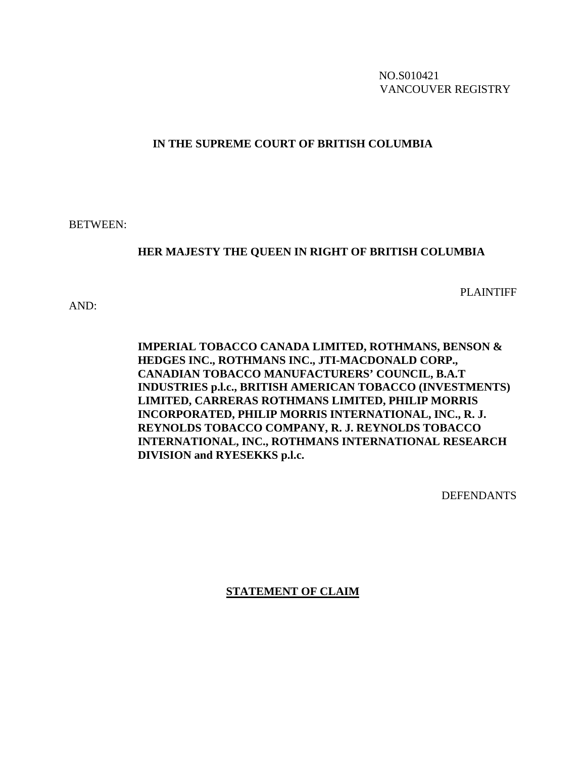NO.S010421 VANCOUVER REGISTRY

# **IN THE SUPREME COURT OF BRITISH COLUMBIA**

BETWEEN:

# **HER MAJESTY THE QUEEN IN RIGHT OF BRITISH COLUMBIA**

PLAINTIFF

AND:

**IMPERIAL TOBACCO CANADA LIMITED, ROTHMANS, BENSON & HEDGES INC., ROTHMANS INC., JTI-MACDONALD CORP., CANADIAN TOBACCO MANUFACTURERS' COUNCIL, B.A.T INDUSTRIES p.l.c., BRITISH AMERICAN TOBACCO (INVESTMENTS) LIMITED, CARRERAS ROTHMANS LIMITED, PHILIP MORRIS INCORPORATED, PHILIP MORRIS INTERNATIONAL, INC., R. J. REYNOLDS TOBACCO COMPANY, R. J. REYNOLDS TOBACCO INTERNATIONAL, INC., ROTHMANS INTERNATIONAL RESEARCH DIVISION and RYESEKKS p.l.c.**

DEFENDANTS

**STATEMENT OF CLAIM**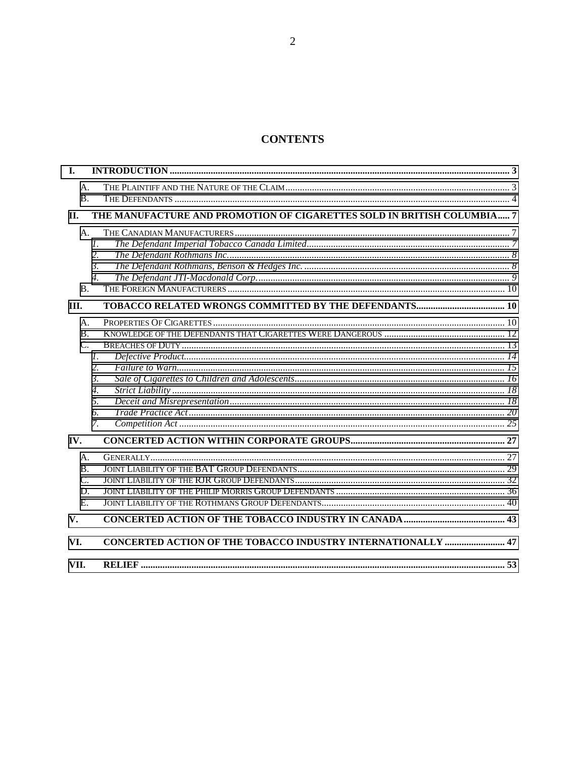# **CONTENTS**

| I.              |                                                                        |  |
|-----------------|------------------------------------------------------------------------|--|
| A.<br>B.        |                                                                        |  |
| II.             | THE MANUFACTURE AND PROMOTION OF CIGARETTES SOLD IN BRITISH COLUMBIA 7 |  |
| A.              |                                                                        |  |
|                 | $\mathcal{I}$ .                                                        |  |
|                 | 2.                                                                     |  |
|                 | 3.                                                                     |  |
|                 | $\overline{4}$ .                                                       |  |
| <b>B.</b>       |                                                                        |  |
| III.            |                                                                        |  |
| A.              |                                                                        |  |
| <b>B.</b>       |                                                                        |  |
| $C_{\cdot}$     |                                                                        |  |
|                 | $\mathcal{I}$ .                                                        |  |
|                 | 2.                                                                     |  |
|                 | 3.                                                                     |  |
|                 | $\overline{4}$ .                                                       |  |
|                 | 5.                                                                     |  |
|                 | 6.                                                                     |  |
|                 | 7.                                                                     |  |
| IV.             |                                                                        |  |
| А.              |                                                                        |  |
| В.              |                                                                        |  |
| $\mathcal{C}$ . |                                                                        |  |
| D.              |                                                                        |  |
| E.              |                                                                        |  |
| V.              |                                                                        |  |
| VI.             | CONCERTED ACTION OF THE TOBACCO INDUSTRY INTERNATIONALLY  47           |  |
| VII.            |                                                                        |  |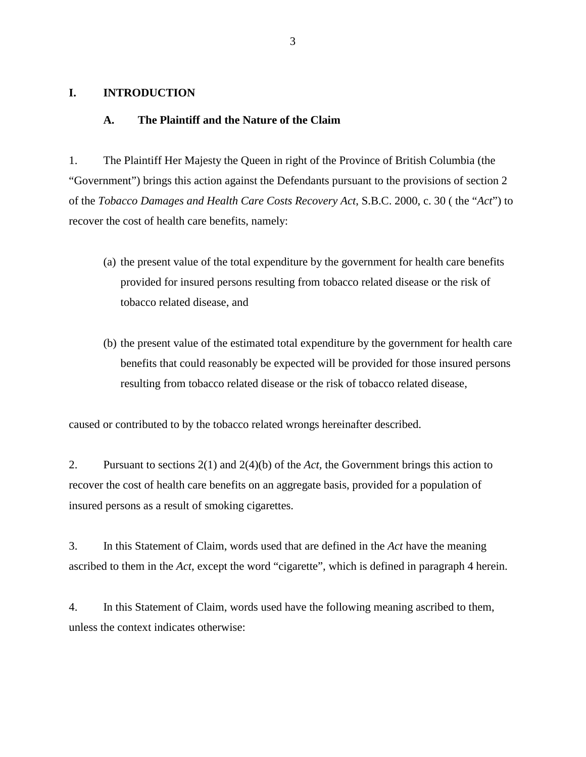### <span id="page-2-0"></span>**I. INTRODUCTION**

#### **A. The Plaintiff and the Nature of the Claim**

1. The Plaintiff Her Majesty the Queen in right of the Province of British Columbia (the "Government") brings this action against the Defendants pursuant to the provisions of section 2 of the *Tobacco Damages and Health Care Costs Recovery Act*, S.B.C. 2000, c. 30 ( the "*Act*") to recover the cost of health care benefits, namely:

- (a) the present value of the total expenditure by the government for health care benefits provided for insured persons resulting from tobacco related disease or the risk of tobacco related disease, and
- (b) the present value of the estimated total expenditure by the government for health care benefits that could reasonably be expected will be provided for those insured persons resulting from tobacco related disease or the risk of tobacco related disease,

caused or contributed to by the tobacco related wrongs hereinafter described.

2. Pursuant to sections 2(1) and 2(4)(b) of the *Act,* the Government brings this action to recover the cost of health care benefits on an aggregate basis, provided for a population of insured persons as a result of smoking cigarettes.

3. In this Statement of Claim, words used that are defined in the *Act* have the meaning ascribed to them in the *Act*, except the word "cigarette", which is defined in paragraph 4 herein.

4. In this Statement of Claim, words used have the following meaning ascribed to them, unless the context indicates otherwise: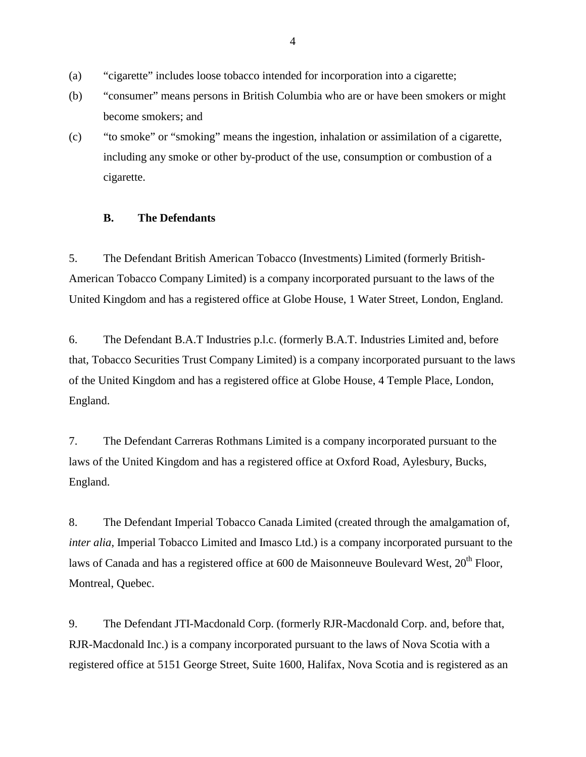- <span id="page-3-0"></span>(a) "cigarette" includes loose tobacco intended for incorporation into a cigarette;
- (b) "consumer" means persons in British Columbia who are or have been smokers or might become smokers; and
- (c) "to smoke" or "smoking" means the ingestion, inhalation or assimilation of a cigarette, including any smoke or other by-product of the use, consumption or combustion of a cigarette.

### **B. The Defendants**

5. The Defendant British American Tobacco (Investments) Limited (formerly British-American Tobacco Company Limited) is a company incorporated pursuant to the laws of the United Kingdom and has a registered office at Globe House, 1 Water Street, London, England.

6. The Defendant B.A.T Industries p.l.c. (formerly B.A.T. Industries Limited and, before that, Tobacco Securities Trust Company Limited) is a company incorporated pursuant to the laws of the United Kingdom and has a registered office at Globe House, 4 Temple Place, London, England.

7. The Defendant Carreras Rothmans Limited is a company incorporated pursuant to the laws of the United Kingdom and has a registered office at Oxford Road, Aylesbury, Bucks, England.

8. The Defendant Imperial Tobacco Canada Limited (created through the amalgamation of, *inter alia*, Imperial Tobacco Limited and Imasco Ltd.) is a company incorporated pursuant to the laws of Canada and has a registered office at  $600$  de Maisonneuve Boulevard West,  $20<sup>th</sup>$  Floor, Montreal, Quebec.

9. The Defendant JTI-Macdonald Corp. (formerly RJR-Macdonald Corp. and, before that, RJR-Macdonald Inc.) is a company incorporated pursuant to the laws of Nova Scotia with a registered office at 5151 George Street, Suite 1600, Halifax, Nova Scotia and is registered as an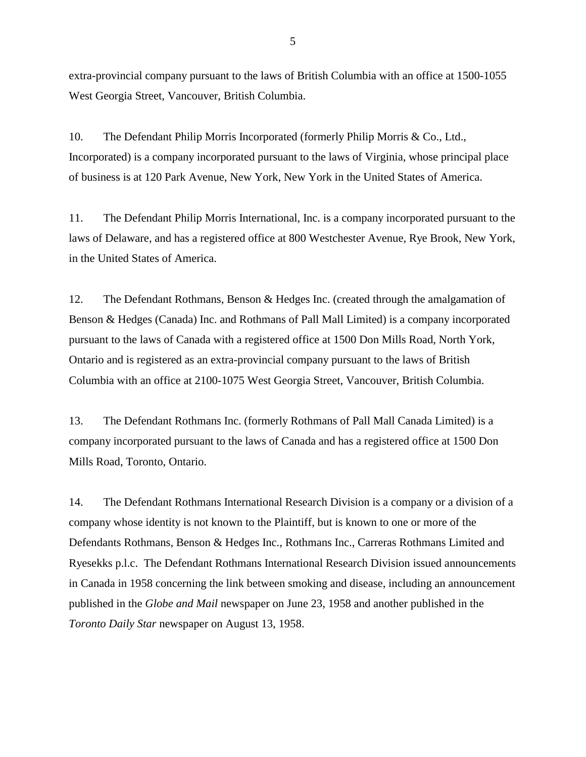extra-provincial company pursuant to the laws of British Columbia with an office at 1500-1055 West Georgia Street, Vancouver, British Columbia.

10. The Defendant Philip Morris Incorporated (formerly Philip Morris & Co., Ltd., Incorporated) is a company incorporated pursuant to the laws of Virginia, whose principal place of business is at 120 Park Avenue, New York, New York in the United States of America.

11. The Defendant Philip Morris International, Inc. is a company incorporated pursuant to the laws of Delaware, and has a registered office at 800 Westchester Avenue, Rye Brook, New York, in the United States of America.

12. The Defendant Rothmans, Benson & Hedges Inc. (created through the amalgamation of Benson & Hedges (Canada) Inc. and Rothmans of Pall Mall Limited) is a company incorporated pursuant to the laws of Canada with a registered office at 1500 Don Mills Road, North York, Ontario and is registered as an extra-provincial company pursuant to the laws of British Columbia with an office at 2100-1075 West Georgia Street, Vancouver, British Columbia.

13. The Defendant Rothmans Inc. (formerly Rothmans of Pall Mall Canada Limited) is a company incorporated pursuant to the laws of Canada and has a registered office at 1500 Don Mills Road, Toronto, Ontario.

14. The Defendant Rothmans International Research Division is a company or a division of a company whose identity is not known to the Plaintiff, but is known to one or more of the Defendants Rothmans, Benson & Hedges Inc., Rothmans Inc., Carreras Rothmans Limited and Ryesekks p.l.c. The Defendant Rothmans International Research Division issued announcements in Canada in 1958 concerning the link between smoking and disease, including an announcement published in the *Globe and Mail* newspaper on June 23, 1958 and another published in the *Toronto Daily Star* newspaper on August 13, 1958.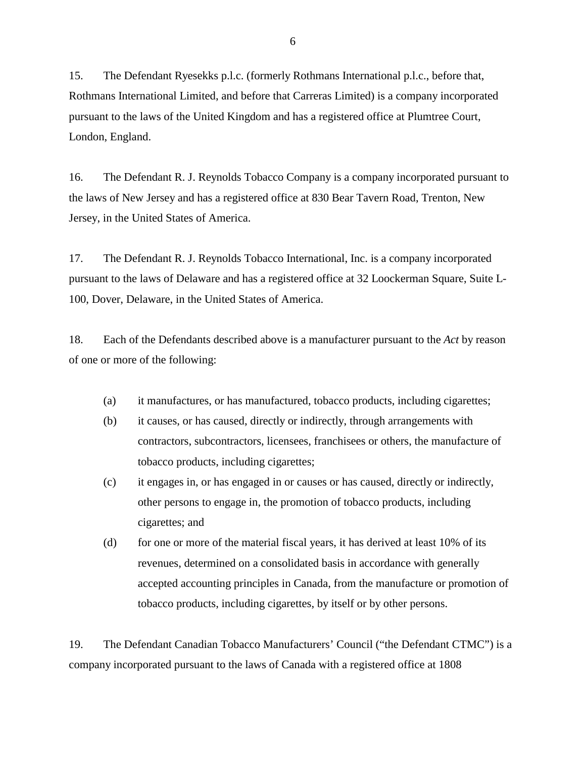15. The Defendant Ryesekks p.l.c. (formerly Rothmans International p.l.c., before that, Rothmans International Limited, and before that Carreras Limited) is a company incorporated pursuant to the laws of the United Kingdom and has a registered office at Plumtree Court, London, England.

16. The Defendant R. J. Reynolds Tobacco Company is a company incorporated pursuant to the laws of New Jersey and has a registered office at 830 Bear Tavern Road, Trenton, New Jersey, in the United States of America.

17. The Defendant R. J. Reynolds Tobacco International, Inc. is a company incorporated pursuant to the laws of Delaware and has a registered office at 32 Loockerman Square, Suite L-100, Dover, Delaware, in the United States of America.

18. Each of the Defendants described above is a manufacturer pursuant to the *Act* by reason of one or more of the following:

- (a) it manufactures, or has manufactured, tobacco products, including cigarettes;
- (b) it causes, or has caused, directly or indirectly, through arrangements with contractors, subcontractors, licensees, franchisees or others, the manufacture of tobacco products, including cigarettes;
- (c) it engages in, or has engaged in or causes or has caused, directly or indirectly, other persons to engage in, the promotion of tobacco products, including cigarettes; and
- $(d)$  for one or more of the material fiscal years, it has derived at least 10% of its revenues, determined on a consolidated basis in accordance with generally accepted accounting principles in Canada, from the manufacture or promotion of tobacco products, including cigarettes, by itself or by other persons.

19. The Defendant Canadian Tobacco Manufacturers' Council ("the Defendant CTMC") is a company incorporated pursuant to the laws of Canada with a registered office at 1808

6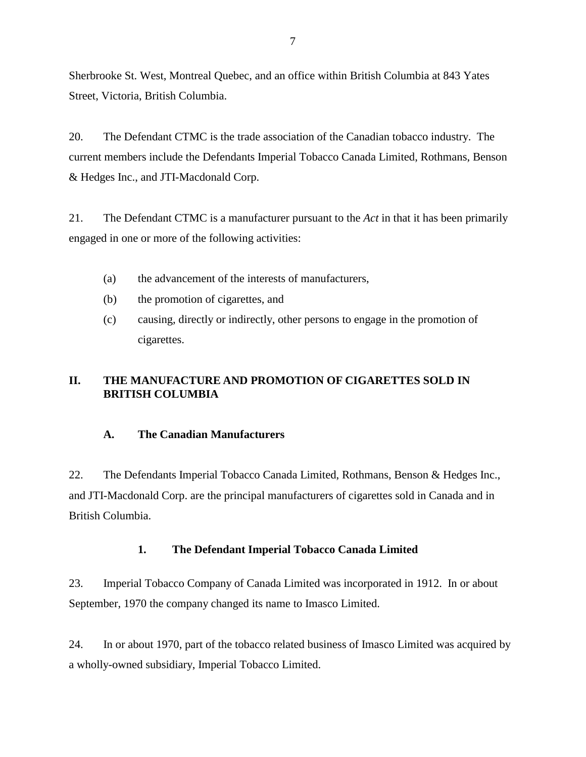<span id="page-6-0"></span>Sherbrooke St. West, Montreal Quebec, and an office within British Columbia at 843 Yates Street, Victoria, British Columbia.

20. The Defendant CTMC is the trade association of the Canadian tobacco industry. The current members include the Defendants Imperial Tobacco Canada Limited, Rothmans, Benson & Hedges Inc., and JTI-Macdonald Corp.

21. The Defendant CTMC is a manufacturer pursuant to the *Act* in that it has been primarily engaged in one or more of the following activities:

- (a) the advancement of the interests of manufacturers,
- (b) the promotion of cigarettes, and
- (c) causing, directly or indirectly, other persons to engage in the promotion of cigarettes.

# **II. THE MANUFACTURE AND PROMOTION OF CIGARETTES SOLD IN BRITISH COLUMBIA**

# **A. The Canadian Manufacturers**

22. The Defendants Imperial Tobacco Canada Limited, Rothmans, Benson & Hedges Inc., and JTI-Macdonald Corp. are the principal manufacturers of cigarettes sold in Canada and in British Columbia.

# **1. The Defendant Imperial Tobacco Canada Limited**

23. Imperial Tobacco Company of Canada Limited was incorporated in 1912. In or about September, 1970 the company changed its name to Imasco Limited.

24. In or about 1970, part of the tobacco related business of Imasco Limited was acquired by a wholly-owned subsidiary, Imperial Tobacco Limited.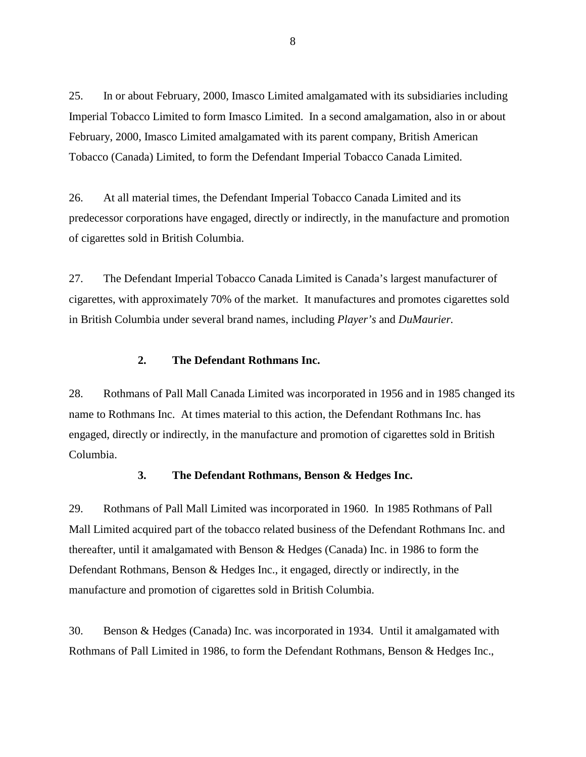<span id="page-7-0"></span>25. In or about February, 2000, Imasco Limited amalgamated with its subsidiaries including Imperial Tobacco Limited to form Imasco Limited. In a second amalgamation, also in or about February, 2000, Imasco Limited amalgamated with its parent company, British American Tobacco (Canada) Limited, to form the Defendant Imperial Tobacco Canada Limited.

26. At all material times, the Defendant Imperial Tobacco Canada Limited and its predecessor corporations have engaged, directly or indirectly, in the manufacture and promotion of cigarettes sold in British Columbia.

27. The Defendant Imperial Tobacco Canada Limited is Canada's largest manufacturer of cigarettes, with approximately 70% of the market. It manufactures and promotes cigarettes sold in British Columbia under several brand names, including *Player's* and *DuMaurier.*

### **2. The Defendant Rothmans Inc.**

28. Rothmans of Pall Mall Canada Limited was incorporated in 1956 and in 1985 changed its name to Rothmans Inc. At times material to this action, the Defendant Rothmans Inc. has engaged, directly or indirectly, in the manufacture and promotion of cigarettes sold in British Columbia.

#### **3. The Defendant Rothmans, Benson & Hedges Inc.**

29. Rothmans of Pall Mall Limited was incorporated in 1960. In 1985 Rothmans of Pall Mall Limited acquired part of the tobacco related business of the Defendant Rothmans Inc. and thereafter, until it amalgamated with Benson & Hedges (Canada) Inc. in 1986 to form the Defendant Rothmans, Benson & Hedges Inc., it engaged, directly or indirectly, in the manufacture and promotion of cigarettes sold in British Columbia.

30. Benson & Hedges (Canada) Inc. was incorporated in 1934. Until it amalgamated with Rothmans of Pall Limited in 1986, to form the Defendant Rothmans, Benson & Hedges Inc.,

8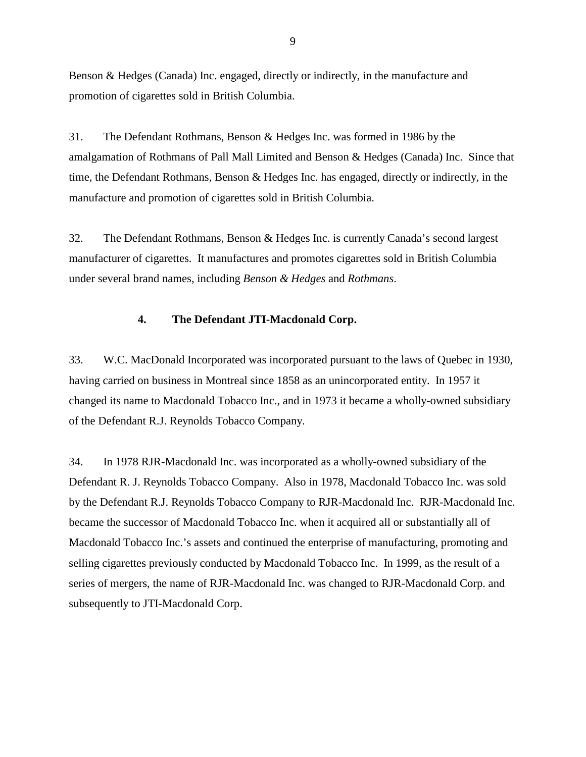<span id="page-8-0"></span>Benson & Hedges (Canada) Inc. engaged, directly or indirectly, in the manufacture and promotion of cigarettes sold in British Columbia.

31. The Defendant Rothmans, Benson & Hedges Inc. was formed in 1986 by the amalgamation of Rothmans of Pall Mall Limited and Benson & Hedges (Canada) Inc. Since that time, the Defendant Rothmans, Benson & Hedges Inc. has engaged, directly or indirectly, in the manufacture and promotion of cigarettes sold in British Columbia.

32. The Defendant Rothmans, Benson & Hedges Inc. is currently Canada's second largest manufacturer of cigarettes. It manufactures and promotes cigarettes sold in British Columbia under several brand names, including *Benson & Hedges* and *Rothmans*.

#### **4. The Defendant JTI-Macdonald Corp.**

33. W.C. MacDonald Incorporated was incorporated pursuant to the laws of Quebec in 1930, having carried on business in Montreal since 1858 as an unincorporated entity. In 1957 it changed its name to Macdonald Tobacco Inc., and in 1973 it became a wholly-owned subsidiary of the Defendant R.J. Reynolds Tobacco Company.

34. In 1978 RJR-Macdonald Inc. was incorporated as a wholly-owned subsidiary of the Defendant R. J. Reynolds Tobacco Company. Also in 1978, Macdonald Tobacco Inc. was sold by the Defendant R.J. Reynolds Tobacco Company to RJR-Macdonald Inc. RJR-Macdonald Inc. became the successor of Macdonald Tobacco Inc. when it acquired all or substantially all of Macdonald Tobacco Inc.'s assets and continued the enterprise of manufacturing, promoting and selling cigarettes previously conducted by Macdonald Tobacco Inc. In 1999, as the result of a series of mergers, the name of RJR-Macdonald Inc. was changed to RJR-Macdonald Corp. and subsequently to JTI-Macdonald Corp.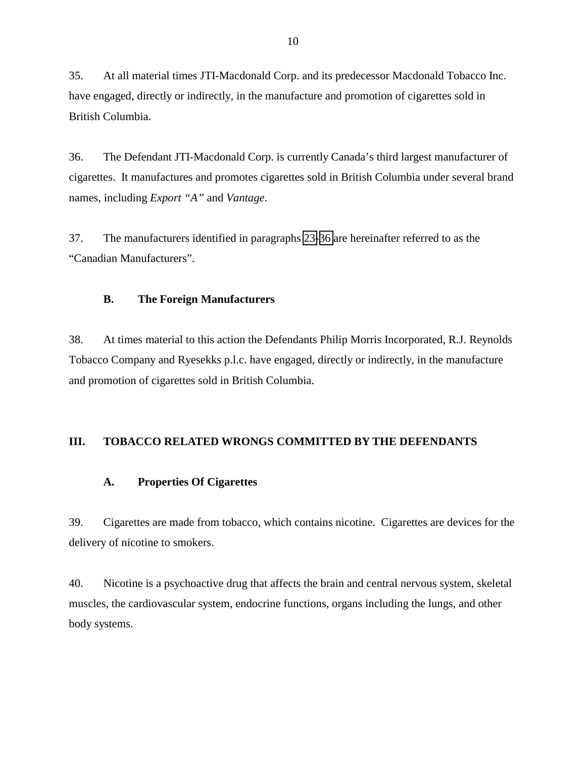<span id="page-9-0"></span>35. At all material times JTI-Macdonald Corp. and its predecessor Macdonald Tobacco Inc. have engaged, directly or indirectly, in the manufacture and promotion of cigarettes sold in British Columbia.

36. The Defendant JTI-Macdonald Corp. is currently Canada's third largest manufacturer of cigarettes. It manufactures and promotes cigarettes sold in British Columbia under several brand names, including *Export "A"* and *Vantage*.

37. The manufacturers identified in paragraphs [23-](#page-6-0)36 are hereinafter referred to as the "Canadian Manufacturers".

# **B. The Foreign Manufacturers**

38. At times material to this action the Defendants Philip Morris Incorporated, R.J. Reynolds Tobacco Company and Ryesekks p.l.c. have engaged, directly or indirectly, in the manufacture and promotion of cigarettes sold in British Columbia.

# **III. TOBACCO RELATED WRONGS COMMITTED BY THE DEFENDANTS**

#### **A. Properties Of Cigarettes**

39. Cigarettes are made from tobacco, which contains nicotine. Cigarettes are devices for the delivery of nicotine to smokers.

40. Nicotine is a psychoactive drug that affects the brain and central nervous system, skeletal muscles, the cardiovascular system, endocrine functions, organs including the lungs, and other body systems.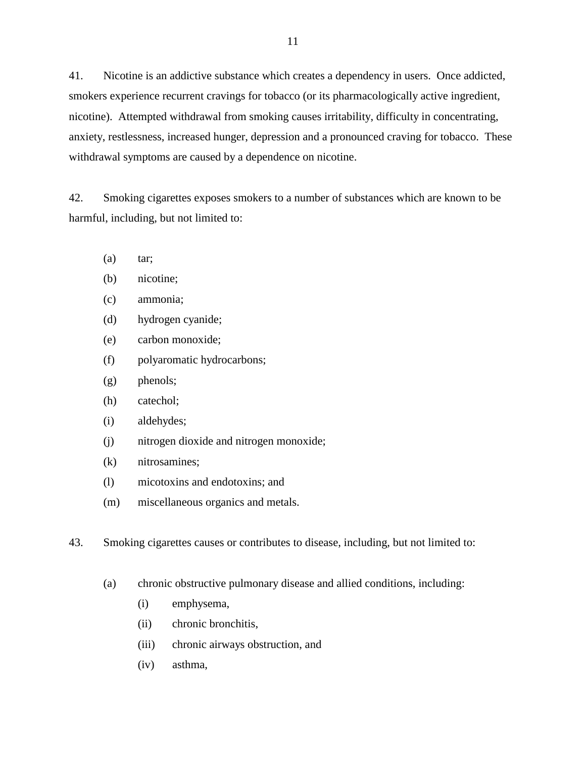<span id="page-10-0"></span>41. Nicotine is an addictive substance which creates a dependency in users. Once addicted, smokers experience recurrent cravings for tobacco (or its pharmacologically active ingredient, nicotine). Attempted withdrawal from smoking causes irritability, difficulty in concentrating, anxiety, restlessness, increased hunger, depression and a pronounced craving for tobacco. These withdrawal symptoms are caused by a dependence on nicotine.

42. Smoking cigarettes exposes smokers to a number of substances which are known to be harmful, including, but not limited to:

- $(a)$  tar;
- (b) nicotine;
- (c) ammonia;
- (d) hydrogen cyanide;
- (e) carbon monoxide;
- (f) polyaromatic hydrocarbons;
- (g) phenols;
- (h) catechol;
- (i) aldehydes;
- (j) nitrogen dioxide and nitrogen monoxide;
- (k) nitrosamines;
- (l) micotoxins and endotoxins; and
- (m) miscellaneous organics and metals.
- 43. Smoking cigarettes causes or contributes to disease, including, but not limited to:
	- (a) chronic obstructive pulmonary disease and allied conditions, including:
		- (i) emphysema,
		- (ii) chronic bronchitis,
		- (iii) chronic airways obstruction, and
		- (iv) asthma,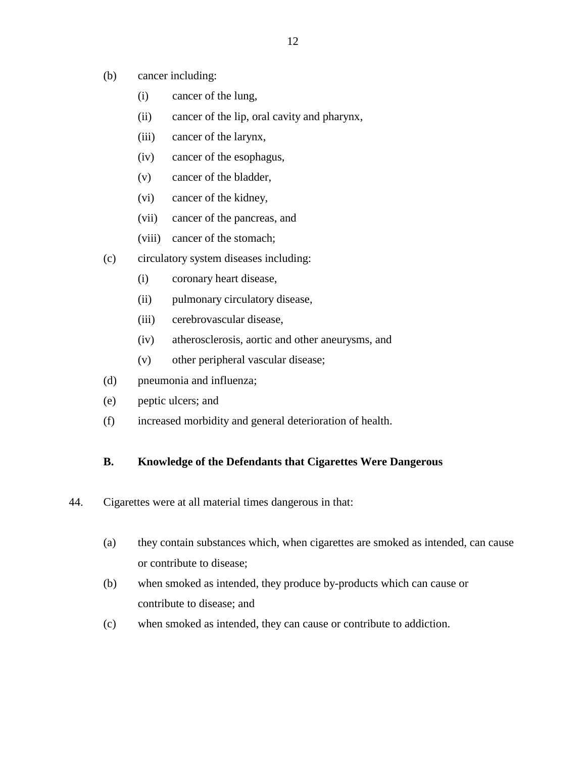- <span id="page-11-0"></span>(b) cancer including:
	- (i) cancer of the lung,
	- (ii) cancer of the lip, oral cavity and pharynx,
	- (iii) cancer of the larynx,
	- (iv) cancer of the esophagus,
	- (v) cancer of the bladder,
	- (vi) cancer of the kidney,
	- (vii) cancer of the pancreas, and
	- (viii) cancer of the stomach;
- (c) circulatory system diseases including:
	- (i) coronary heart disease,
	- (ii) pulmonary circulatory disease,
	- (iii) cerebrovascular disease,
	- (iv) atherosclerosis, aortic and other aneurysms, and
	- (v) other peripheral vascular disease;
- (d) pneumonia and influenza;
- (e) peptic ulcers; and
- (f) increased morbidity and general deterioration of health.

# **B. Knowledge of the Defendants that Cigarettes Were Dangerous**

- 44. Cigarettes were at all material times dangerous in that:
	- (a) they contain substances which, when cigarettes are smoked as intended, can cause or contribute to disease;
	- (b) when smoked as intended, they produce by-products which can cause or contribute to disease; and
	- (c) when smoked as intended, they can cause or contribute to addiction.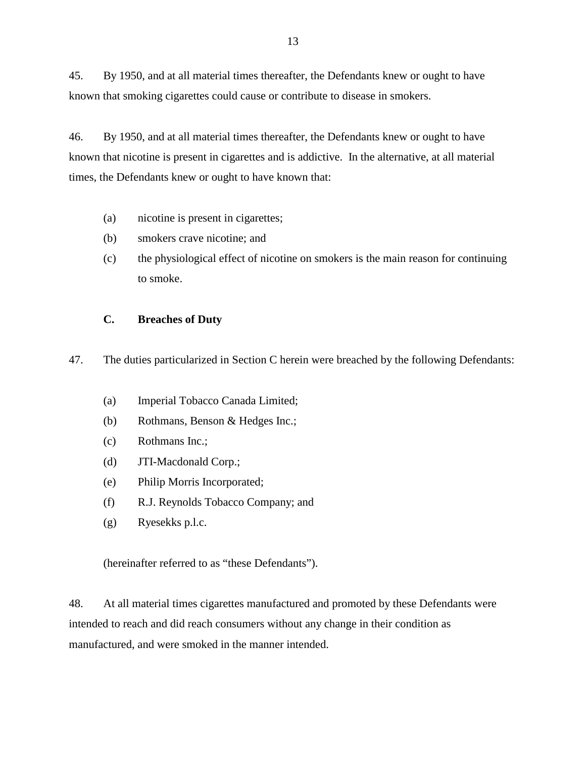<span id="page-12-0"></span>45. By 1950, and at all material times thereafter, the Defendants knew or ought to have known that smoking cigarettes could cause or contribute to disease in smokers.

46. By 1950, and at all material times thereafter, the Defendants knew or ought to have known that nicotine is present in cigarettes and is addictive. In the alternative, at all material times, the Defendants knew or ought to have known that:

- (a) nicotine is present in cigarettes;
- (b) smokers crave nicotine; and
- (c) the physiological effect of nicotine on smokers is the main reason for continuing to smoke.

### **C. Breaches of Duty**

47. The duties particularized in Section C herein were breached by the following Defendants:

- (a) Imperial Tobacco Canada Limited;
- (b) Rothmans, Benson & Hedges Inc.;
- (c) Rothmans Inc.;
- (d) JTI-Macdonald Corp.;
- (e) Philip Morris Incorporated;
- (f) R.J. Reynolds Tobacco Company; and
- (g) Ryesekks p.l.c.

(hereinafter referred to as "these Defendants").

48. At all material times cigarettes manufactured and promoted by these Defendants were intended to reach and did reach consumers without any change in their condition as manufactured, and were smoked in the manner intended.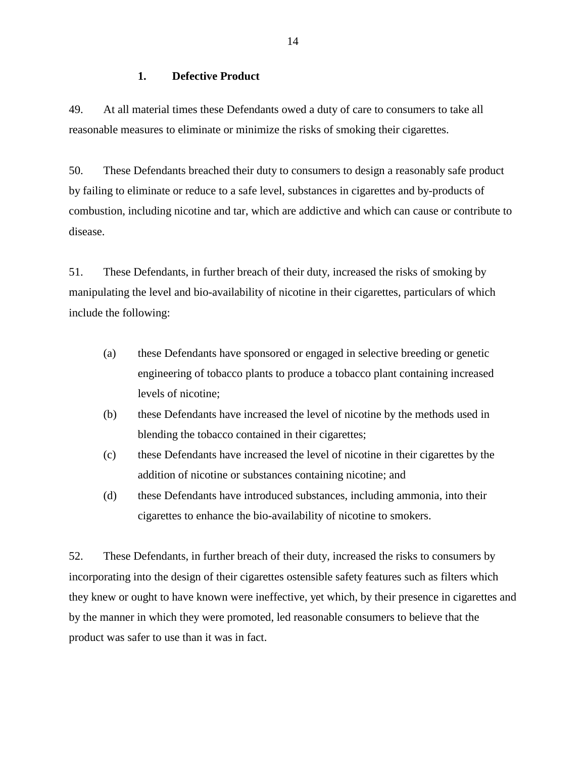### **1. Defective Product**

<span id="page-13-0"></span>49. At all material times these Defendants owed a duty of care to consumers to take all reasonable measures to eliminate or minimize the risks of smoking their cigarettes.

50. These Defendants breached their duty to consumers to design a reasonably safe product by failing to eliminate or reduce to a safe level, substances in cigarettes and by-products of combustion, including nicotine and tar, which are addictive and which can cause or contribute to disease.

51. These Defendants, in further breach of their duty, increased the risks of smoking by manipulating the level and bio-availability of nicotine in their cigarettes, particulars of which include the following:

- (a) these Defendants have sponsored or engaged in selective breeding or genetic engineering of tobacco plants to produce a tobacco plant containing increased levels of nicotine;
- (b) these Defendants have increased the level of nicotine by the methods used in blending the tobacco contained in their cigarettes;
- (c) these Defendants have increased the level of nicotine in their cigarettes by the addition of nicotine or substances containing nicotine; and
- (d) these Defendants have introduced substances, including ammonia, into their cigarettes to enhance the bio-availability of nicotine to smokers.

52. These Defendants, in further breach of their duty, increased the risks to consumers by incorporating into the design of their cigarettes ostensible safety features such as filters which they knew or ought to have known were ineffective, yet which, by their presence in cigarettes and by the manner in which they were promoted, led reasonable consumers to believe that the product was safer to use than it was in fact.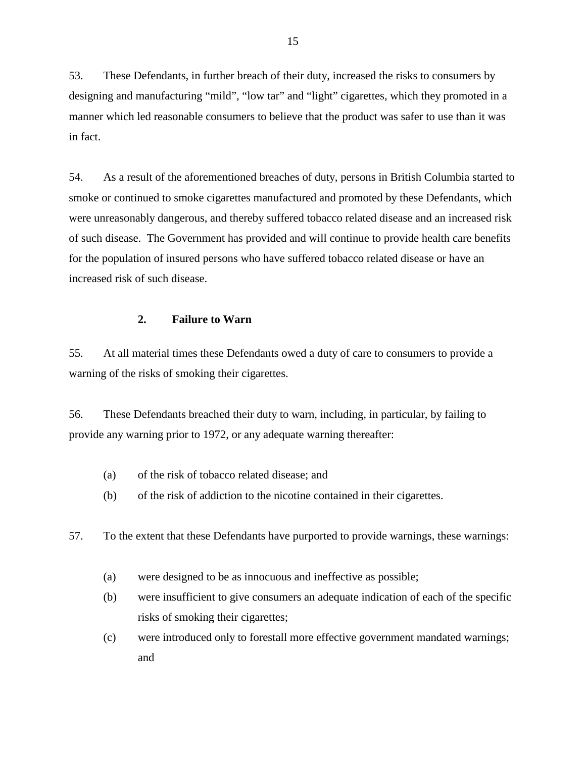<span id="page-14-0"></span>53. These Defendants, in further breach of their duty, increased the risks to consumers by designing and manufacturing "mild", "low tar" and "light" cigarettes, which they promoted in a manner which led reasonable consumers to believe that the product was safer to use than it was in fact.

54. As a result of the aforementioned breaches of duty, persons in British Columbia started to smoke or continued to smoke cigarettes manufactured and promoted by these Defendants, which were unreasonably dangerous, and thereby suffered tobacco related disease and an increased risk of such disease. The Government has provided and will continue to provide health care benefits for the population of insured persons who have suffered tobacco related disease or have an increased risk of such disease.

#### **2. Failure to Warn**

55. At all material times these Defendants owed a duty of care to consumers to provide a warning of the risks of smoking their cigarettes.

56. These Defendants breached their duty to warn, including, in particular, by failing to provide any warning prior to 1972, or any adequate warning thereafter:

- (a) of the risk of tobacco related disease; and
- (b) of the risk of addiction to the nicotine contained in their cigarettes.

57. To the extent that these Defendants have purported to provide warnings, these warnings:

- (a) were designed to be as innocuous and ineffective as possible;
- (b) were insufficient to give consumers an adequate indication of each of the specific risks of smoking their cigarettes;
- (c) were introduced only to forestall more effective government mandated warnings; and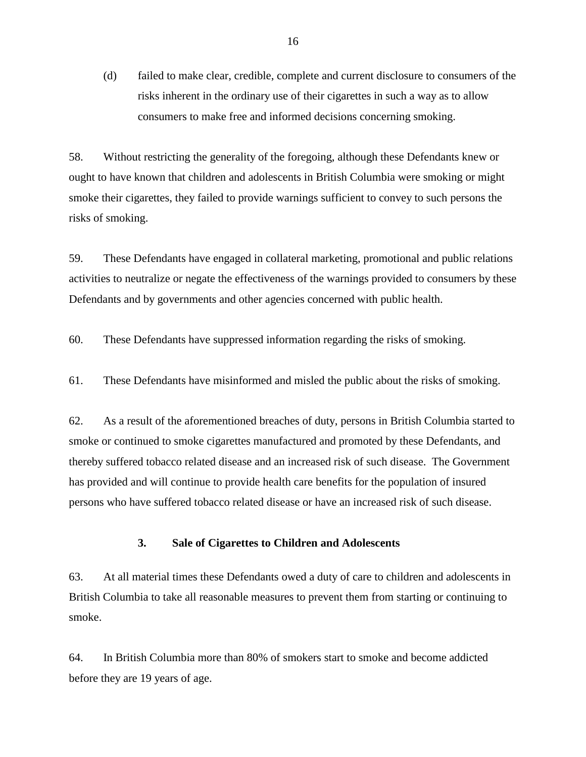<span id="page-15-0"></span>(d) failed to make clear, credible, complete and current disclosure to consumers of the risks inherent in the ordinary use of their cigarettes in such a way as to allow consumers to make free and informed decisions concerning smoking.

58. Without restricting the generality of the foregoing, although these Defendants knew or ought to have known that children and adolescents in British Columbia were smoking or might smoke their cigarettes, they failed to provide warnings sufficient to convey to such persons the risks of smoking.

59. These Defendants have engaged in collateral marketing, promotional and public relations activities to neutralize or negate the effectiveness of the warnings provided to consumers by these Defendants and by governments and other agencies concerned with public health.

60. These Defendants have suppressed information regarding the risks of smoking.

61. These Defendants have misinformed and misled the public about the risks of smoking.

62. As a result of the aforementioned breaches of duty, persons in British Columbia started to smoke or continued to smoke cigarettes manufactured and promoted by these Defendants, and thereby suffered tobacco related disease and an increased risk of such disease. The Government has provided and will continue to provide health care benefits for the population of insured persons who have suffered tobacco related disease or have an increased risk of such disease.

#### **3. Sale of Cigarettes to Children and Adolescents**

63. At all material times these Defendants owed a duty of care to children and adolescents in British Columbia to take all reasonable measures to prevent them from starting or continuing to smoke.

64. In British Columbia more than 80% of smokers start to smoke and become addicted before they are 19 years of age.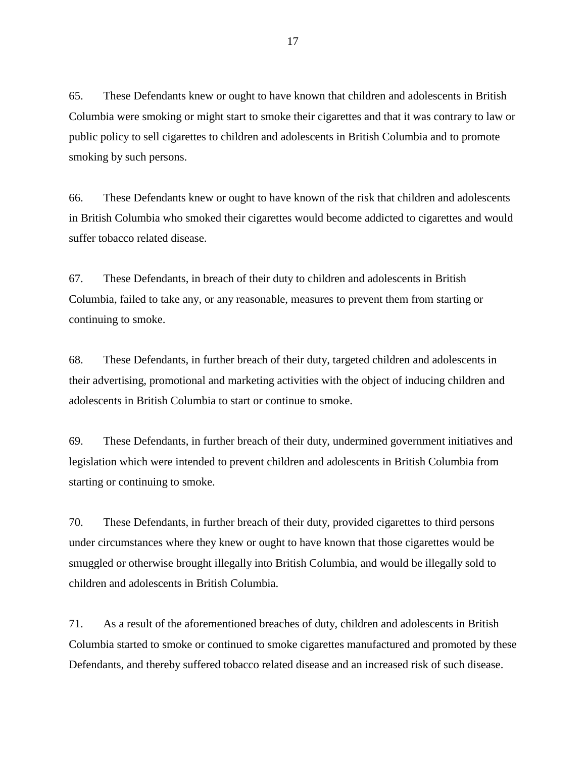65. These Defendants knew or ought to have known that children and adolescents in British Columbia were smoking or might start to smoke their cigarettes and that it was contrary to law or public policy to sell cigarettes to children and adolescents in British Columbia and to promote smoking by such persons.

66. These Defendants knew or ought to have known of the risk that children and adolescents in British Columbia who smoked their cigarettes would become addicted to cigarettes and would suffer tobacco related disease.

67. These Defendants, in breach of their duty to children and adolescents in British Columbia, failed to take any, or any reasonable, measures to prevent them from starting or continuing to smoke.

68. These Defendants, in further breach of their duty, targeted children and adolescents in their advertising, promotional and marketing activities with the object of inducing children and adolescents in British Columbia to start or continue to smoke.

69. These Defendants, in further breach of their duty, undermined government initiatives and legislation which were intended to prevent children and adolescents in British Columbia from starting or continuing to smoke.

70. These Defendants, in further breach of their duty, provided cigarettes to third persons under circumstances where they knew or ought to have known that those cigarettes would be smuggled or otherwise brought illegally into British Columbia, and would be illegally sold to children and adolescents in British Columbia.

71. As a result of the aforementioned breaches of duty, children and adolescents in British Columbia started to smoke or continued to smoke cigarettes manufactured and promoted by these Defendants, and thereby suffered tobacco related disease and an increased risk of such disease.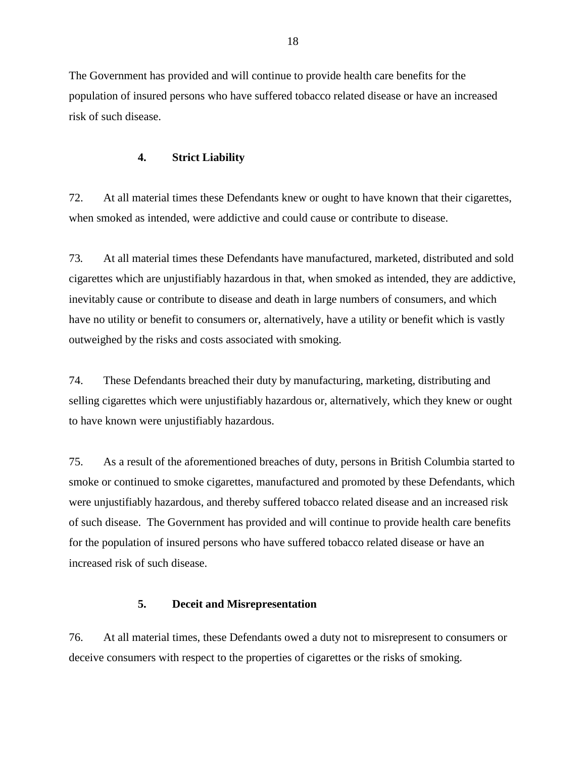<span id="page-17-0"></span>The Government has provided and will continue to provide health care benefits for the population of insured persons who have suffered tobacco related disease or have an increased risk of such disease.

# **4. Strict Liability**

72. At all material times these Defendants knew or ought to have known that their cigarettes, when smoked as intended, were addictive and could cause or contribute to disease.

73*.* At all material times these Defendants have manufactured, marketed, distributed and sold cigarettes which are unjustifiably hazardous in that, when smoked as intended, they are addictive, inevitably cause or contribute to disease and death in large numbers of consumers, and which have no utility or benefit to consumers or, alternatively, have a utility or benefit which is vastly outweighed by the risks and costs associated with smoking.

74. These Defendants breached their duty by manufacturing, marketing, distributing and selling cigarettes which were unjustifiably hazardous or, alternatively, which they knew or ought to have known were unjustifiably hazardous.

75. As a result of the aforementioned breaches of duty, persons in British Columbia started to smoke or continued to smoke cigarettes, manufactured and promoted by these Defendants, which were unjustifiably hazardous, and thereby suffered tobacco related disease and an increased risk of such disease. The Government has provided and will continue to provide health care benefits for the population of insured persons who have suffered tobacco related disease or have an increased risk of such disease.

# **5. Deceit and Misrepresentation**

76. At all material times, these Defendants owed a duty not to misrepresent to consumers or deceive consumers with respect to the properties of cigarettes or the risks of smoking.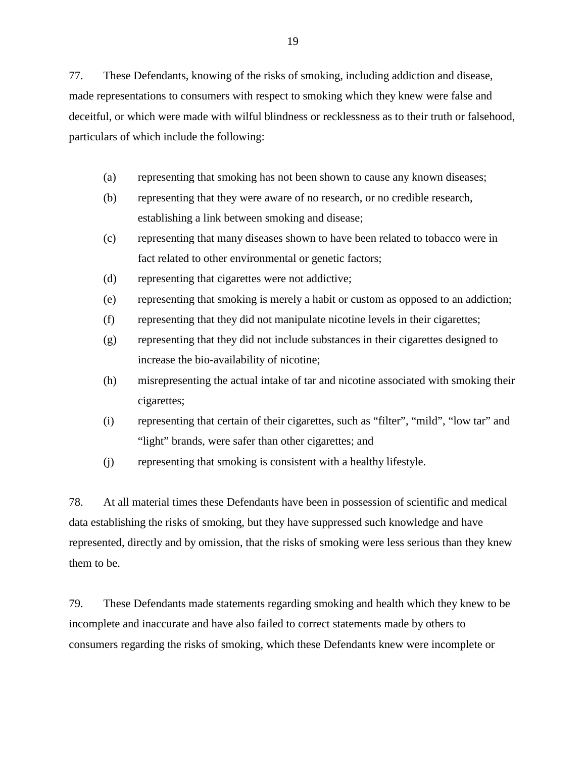77. These Defendants, knowing of the risks of smoking, including addiction and disease, made representations to consumers with respect to smoking which they knew were false and deceitful, or which were made with wilful blindness or recklessness as to their truth or falsehood, particulars of which include the following:

- (a) representing that smoking has not been shown to cause any known diseases;
- (b) representing that they were aware of no research, or no credible research, establishing a link between smoking and disease;
- (c) representing that many diseases shown to have been related to tobacco were in fact related to other environmental or genetic factors;
- (d) representing that cigarettes were not addictive;
- (e) representing that smoking is merely a habit or custom as opposed to an addiction;
- (f) representing that they did not manipulate nicotine levels in their cigarettes;
- (g) representing that they did not include substances in their cigarettes designed to increase the bio-availability of nicotine;
- (h) misrepresenting the actual intake of tar and nicotine associated with smoking their cigarettes;
- (i) representing that certain of their cigarettes, such as "filter", "mild", "low tar" and "light" brands, were safer than other cigarettes; and
- (j) representing that smoking is consistent with a healthy lifestyle.

78. At all material times these Defendants have been in possession of scientific and medical data establishing the risks of smoking, but they have suppressed such knowledge and have represented, directly and by omission, that the risks of smoking were less serious than they knew them to be.

79. These Defendants made statements regarding smoking and health which they knew to be incomplete and inaccurate and have also failed to correct statements made by others to consumers regarding the risks of smoking, which these Defendants knew were incomplete or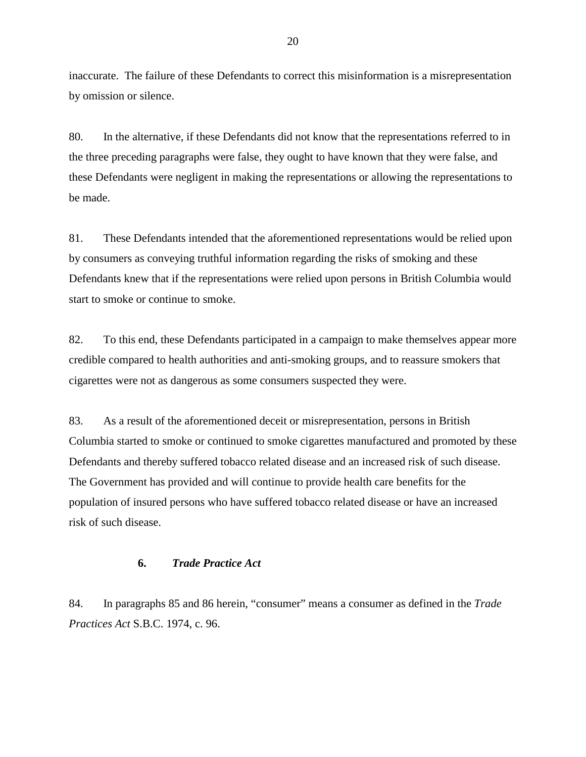<span id="page-19-0"></span>inaccurate. The failure of these Defendants to correct this misinformation is a misrepresentation by omission or silence.

80. In the alternative, if these Defendants did not know that the representations referred to in the three preceding paragraphs were false, they ought to have known that they were false, and these Defendants were negligent in making the representations or allowing the representations to be made.

81. These Defendants intended that the aforementioned representations would be relied upon by consumers as conveying truthful information regarding the risks of smoking and these Defendants knew that if the representations were relied upon persons in British Columbia would start to smoke or continue to smoke.

82. To this end, these Defendants participated in a campaign to make themselves appear more credible compared to health authorities and anti-smoking groups, and to reassure smokers that cigarettes were not as dangerous as some consumers suspected they were.

83. As a result of the aforementioned deceit or misrepresentation, persons in British Columbia started to smoke or continued to smoke cigarettes manufactured and promoted by these Defendants and thereby suffered tobacco related disease and an increased risk of such disease. The Government has provided and will continue to provide health care benefits for the population of insured persons who have suffered tobacco related disease or have an increased risk of such disease.

# **6.** *Trade Practice Act*

84. In paragraphs 85 and 86 herein, "consumer" means a consumer as defined in the *Trade Practices Act* S.B.C. 1974, c. 96.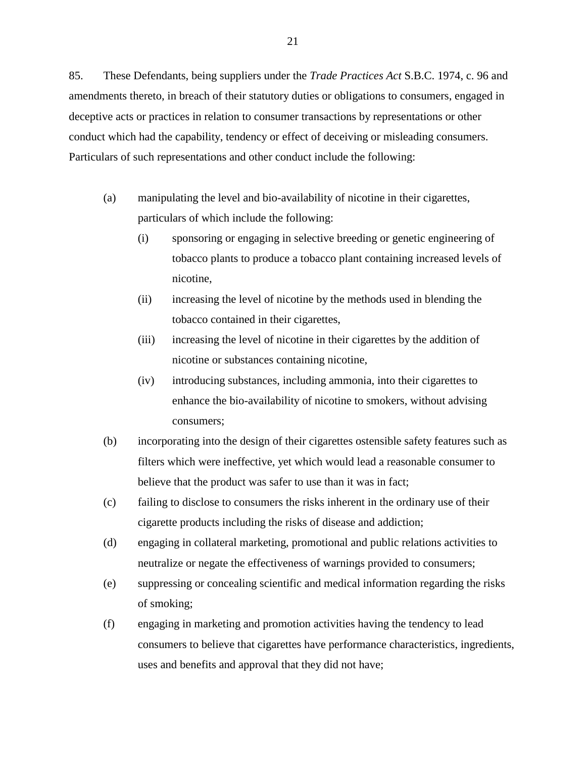85. These Defendants, being suppliers under the *Trade Practices Act* S.B.C. 1974, c. 96 and amendments thereto, in breach of their statutory duties or obligations to consumers, engaged in deceptive acts or practices in relation to consumer transactions by representations or other conduct which had the capability, tendency or effect of deceiving or misleading consumers. Particulars of such representations and other conduct include the following:

- (a) manipulating the level and bio-availability of nicotine in their cigarettes, particulars of which include the following:
	- (i) sponsoring or engaging in selective breeding or genetic engineering of tobacco plants to produce a tobacco plant containing increased levels of nicotine,
	- (ii) increasing the level of nicotine by the methods used in blending the tobacco contained in their cigarettes,
	- (iii) increasing the level of nicotine in their cigarettes by the addition of nicotine or substances containing nicotine,
	- (iv) introducing substances, including ammonia, into their cigarettes to enhance the bio-availability of nicotine to smokers, without advising consumers;
- (b) incorporating into the design of their cigarettes ostensible safety features such as filters which were ineffective, yet which would lead a reasonable consumer to believe that the product was safer to use than it was in fact;
- (c) failing to disclose to consumers the risks inherent in the ordinary use of their cigarette products including the risks of disease and addiction;
- (d) engaging in collateral marketing, promotional and public relations activities to neutralize or negate the effectiveness of warnings provided to consumers;
- (e) suppressing or concealing scientific and medical information regarding the risks of smoking;
- (f) engaging in marketing and promotion activities having the tendency to lead consumers to believe that cigarettes have performance characteristics, ingredients, uses and benefits and approval that they did not have;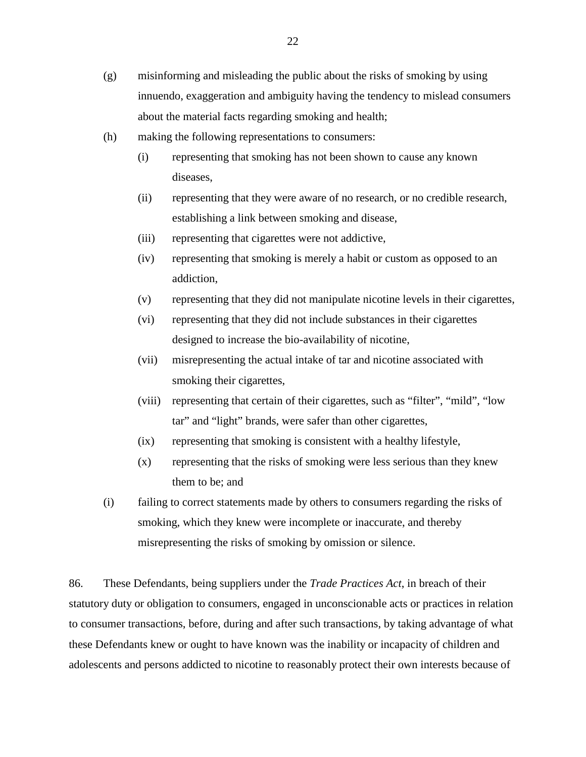- (g) misinforming and misleading the public about the risks of smoking by using innuendo, exaggeration and ambiguity having the tendency to mislead consumers about the material facts regarding smoking and health;
- (h) making the following representations to consumers:
	- (i) representing that smoking has not been shown to cause any known diseases,
	- (ii) representing that they were aware of no research, or no credible research, establishing a link between smoking and disease,
	- (iii) representing that cigarettes were not addictive,
	- (iv) representing that smoking is merely a habit or custom as opposed to an addiction,
	- (v) representing that they did not manipulate nicotine levels in their cigarettes,
	- (vi) representing that they did not include substances in their cigarettes designed to increase the bio-availability of nicotine,
	- (vii) misrepresenting the actual intake of tar and nicotine associated with smoking their cigarettes,
	- (viii) representing that certain of their cigarettes, such as "filter", "mild", "low tar" and "light" brands, were safer than other cigarettes,
	- (ix) representing that smoking is consistent with a healthy lifestyle,
	- (x) representing that the risks of smoking were less serious than they knew them to be; and
- (i) failing to correct statements made by others to consumers regarding the risks of smoking, which they knew were incomplete or inaccurate, and thereby misrepresenting the risks of smoking by omission or silence.

86. These Defendants, being suppliers under the *Trade Practices Act*, in breach of their statutory duty or obligation to consumers, engaged in unconscionable acts or practices in relation to consumer transactions, before, during and after such transactions, by taking advantage of what these Defendants knew or ought to have known was the inability or incapacity of children and adolescents and persons addicted to nicotine to reasonably protect their own interests because of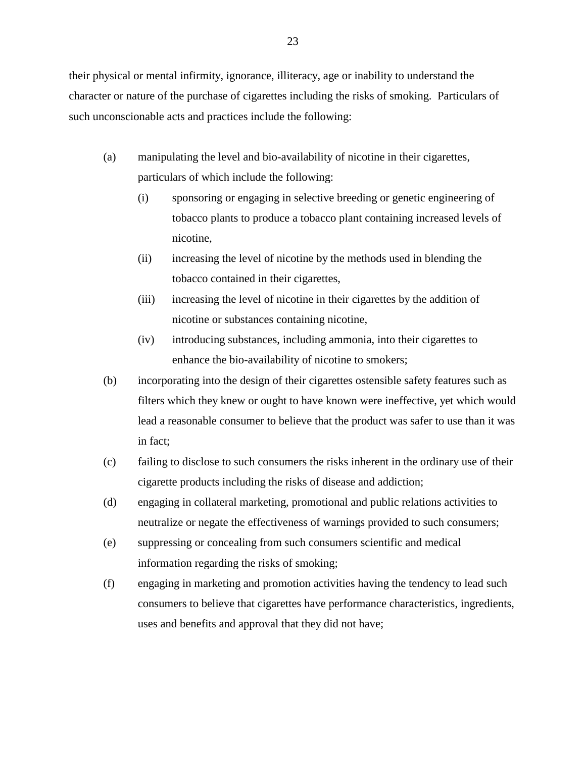their physical or mental infirmity, ignorance, illiteracy, age or inability to understand the character or nature of the purchase of cigarettes including the risks of smoking. Particulars of such unconscionable acts and practices include the following:

- (a) manipulating the level and bio-availability of nicotine in their cigarettes, particulars of which include the following:
	- (i) sponsoring or engaging in selective breeding or genetic engineering of tobacco plants to produce a tobacco plant containing increased levels of nicotine,
	- (ii) increasing the level of nicotine by the methods used in blending the tobacco contained in their cigarettes,
	- (iii) increasing the level of nicotine in their cigarettes by the addition of nicotine or substances containing nicotine,
	- (iv) introducing substances, including ammonia, into their cigarettes to enhance the bio-availability of nicotine to smokers;
- (b) incorporating into the design of their cigarettes ostensible safety features such as filters which they knew or ought to have known were ineffective, yet which would lead a reasonable consumer to believe that the product was safer to use than it was in fact;
- (c) failing to disclose to such consumers the risks inherent in the ordinary use of their cigarette products including the risks of disease and addiction;
- (d) engaging in collateral marketing, promotional and public relations activities to neutralize or negate the effectiveness of warnings provided to such consumers;
- (e) suppressing or concealing from such consumers scientific and medical information regarding the risks of smoking;
- (f) engaging in marketing and promotion activities having the tendency to lead such consumers to believe that cigarettes have performance characteristics, ingredients, uses and benefits and approval that they did not have;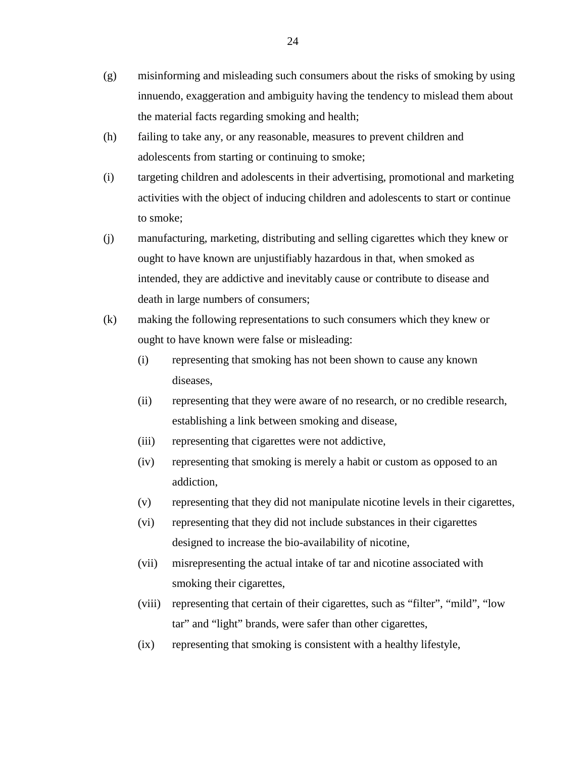- (g) misinforming and misleading such consumers about the risks of smoking by using innuendo, exaggeration and ambiguity having the tendency to mislead them about the material facts regarding smoking and health;
- (h) failing to take any, or any reasonable, measures to prevent children and adolescents from starting or continuing to smoke;
- (i) targeting children and adolescents in their advertising, promotional and marketing activities with the object of inducing children and adolescents to start or continue to smoke;
- (j) manufacturing, marketing, distributing and selling cigarettes which they knew or ought to have known are unjustifiably hazardous in that, when smoked as intended, they are addictive and inevitably cause or contribute to disease and death in large numbers of consumers;
- (k) making the following representations to such consumers which they knew or ought to have known were false or misleading:
	- (i) representing that smoking has not been shown to cause any known diseases,
	- (ii) representing that they were aware of no research, or no credible research, establishing a link between smoking and disease,
	- (iii) representing that cigarettes were not addictive,
	- (iv) representing that smoking is merely a habit or custom as opposed to an addiction,
	- (v) representing that they did not manipulate nicotine levels in their cigarettes,
	- (vi) representing that they did not include substances in their cigarettes designed to increase the bio-availability of nicotine,
	- (vii) misrepresenting the actual intake of tar and nicotine associated with smoking their cigarettes,
	- (viii) representing that certain of their cigarettes, such as "filter", "mild", "low tar" and "light" brands, were safer than other cigarettes,
	- (ix) representing that smoking is consistent with a healthy lifestyle,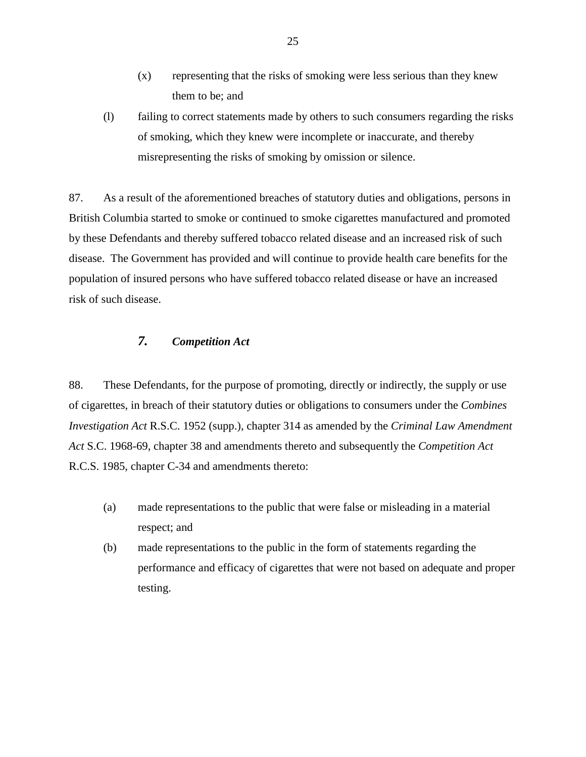- (x) representing that the risks of smoking were less serious than they knew them to be; and
- <span id="page-24-0"></span>(l) failing to correct statements made by others to such consumers regarding the risks of smoking, which they knew were incomplete or inaccurate, and thereby misrepresenting the risks of smoking by omission or silence.

87. As a result of the aforementioned breaches of statutory duties and obligations, persons in British Columbia started to smoke or continued to smoke cigarettes manufactured and promoted by these Defendants and thereby suffered tobacco related disease and an increased risk of such disease. The Government has provided and will continue to provide health care benefits for the population of insured persons who have suffered tobacco related disease or have an increased risk of such disease.

# *7. Competition Act*

88. These Defendants, for the purpose of promoting, directly or indirectly, the supply or use of cigarettes, in breach of their statutory duties or obligations to consumers under the *Combines Investigation Act* R.S.C. 1952 (supp.), chapter 314 as amended by the *Criminal Law Amendment Act* S.C. 1968-69, chapter 38 and amendments thereto and subsequently the *Competition Act* R.C.S. 1985, chapter C-34 and amendments thereto:

- (a) made representations to the public that were false or misleading in a material respect; and
- (b) made representations to the public in the form of statements regarding the performance and efficacy of cigarettes that were not based on adequate and proper testing.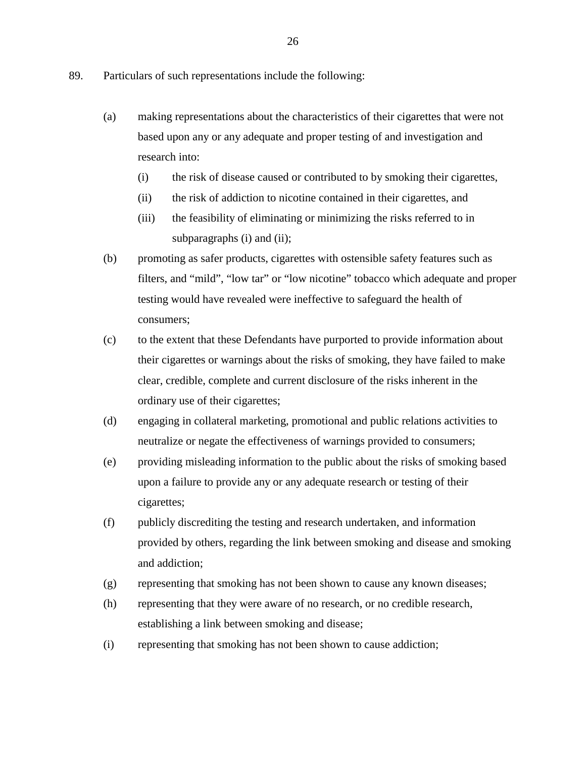- 89. Particulars of such representations include the following:
	- (a) making representations about the characteristics of their cigarettes that were not based upon any or any adequate and proper testing of and investigation and research into:
		- (i) the risk of disease caused or contributed to by smoking their cigarettes,
		- (ii) the risk of addiction to nicotine contained in their cigarettes, and
		- (iii) the feasibility of eliminating or minimizing the risks referred to in subparagraphs (i) and (ii);
	- (b) promoting as safer products, cigarettes with ostensible safety features such as filters, and "mild", "low tar" or "low nicotine" tobacco which adequate and proper testing would have revealed were ineffective to safeguard the health of consumers;
	- (c) to the extent that these Defendants have purported to provide information about their cigarettes or warnings about the risks of smoking, they have failed to make clear, credible, complete and current disclosure of the risks inherent in the ordinary use of their cigarettes;
	- (d) engaging in collateral marketing, promotional and public relations activities to neutralize or negate the effectiveness of warnings provided to consumers;
	- (e) providing misleading information to the public about the risks of smoking based upon a failure to provide any or any adequate research or testing of their cigarettes;
	- (f) publicly discrediting the testing and research undertaken, and information provided by others, regarding the link between smoking and disease and smoking and addiction;
	- (g) representing that smoking has not been shown to cause any known diseases;
	- (h) representing that they were aware of no research, or no credible research, establishing a link between smoking and disease;
	- (i) representing that smoking has not been shown to cause addiction;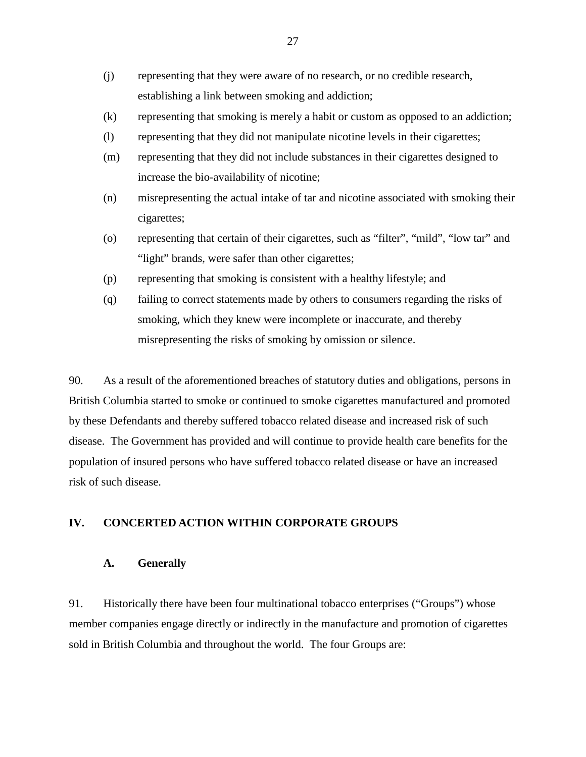- <span id="page-26-0"></span>(j) representing that they were aware of no research, or no credible research, establishing a link between smoking and addiction;
- (k) representing that smoking is merely a habit or custom as opposed to an addiction;
- (l) representing that they did not manipulate nicotine levels in their cigarettes;
- (m) representing that they did not include substances in their cigarettes designed to increase the bio-availability of nicotine;
- (n) misrepresenting the actual intake of tar and nicotine associated with smoking their cigarettes;
- (o) representing that certain of their cigarettes, such as "filter", "mild", "low tar" and "light" brands, were safer than other cigarettes;
- (p) representing that smoking is consistent with a healthy lifestyle; and
- (q) failing to correct statements made by others to consumers regarding the risks of smoking, which they knew were incomplete or inaccurate, and thereby misrepresenting the risks of smoking by omission or silence.

90. As a result of the aforementioned breaches of statutory duties and obligations, persons in British Columbia started to smoke or continued to smoke cigarettes manufactured and promoted by these Defendants and thereby suffered tobacco related disease and increased risk of such disease. The Government has provided and will continue to provide health care benefits for the population of insured persons who have suffered tobacco related disease or have an increased risk of such disease.

## **IV. CONCERTED ACTION WITHIN CORPORATE GROUPS**

#### **A. Generally**

91. Historically there have been four multinational tobacco enterprises ("Groups") whose member companies engage directly or indirectly in the manufacture and promotion of cigarettes sold in British Columbia and throughout the world. The four Groups are: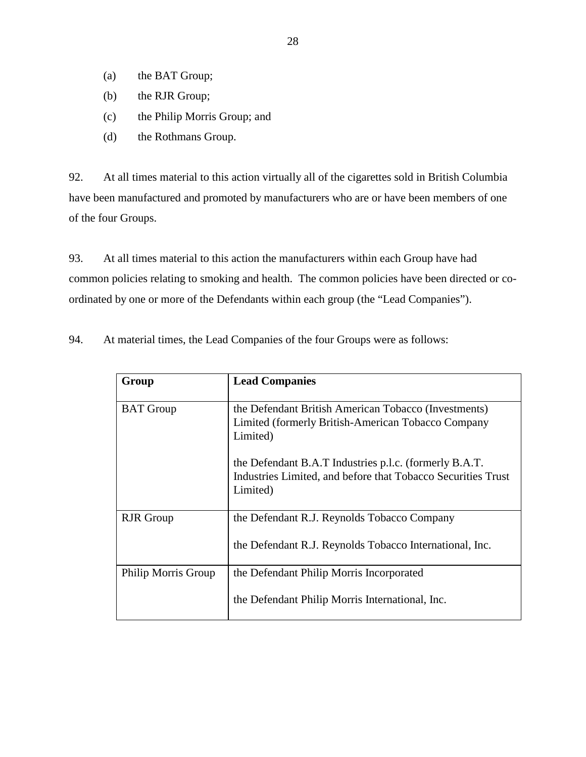- (a) the BAT Group;
- (b) the RJR Group;
- (c) the Philip Morris Group; and
- (d) the Rothmans Group.

92. At all times material to this action virtually all of the cigarettes sold in British Columbia have been manufactured and promoted by manufacturers who are or have been members of one of the four Groups.

93. At all times material to this action the manufacturers within each Group have had common policies relating to smoking and health. The common policies have been directed or coordinated by one or more of the Defendants within each group (the "Lead Companies").

94. At material times, the Lead Companies of the four Groups were as follows:

| Group               | <b>Lead Companies</b>                                                                                                              |
|---------------------|------------------------------------------------------------------------------------------------------------------------------------|
| <b>BAT</b> Group    | the Defendant British American Tobacco (Investments)<br>Limited (formerly British-American Tobacco Company<br>Limited)             |
|                     | the Defendant B.A.T Industries p.l.c. (formerly B.A.T.<br>Industries Limited, and before that Tobacco Securities Trust<br>Limited) |
| <b>RJR</b> Group    | the Defendant R.J. Reynolds Tobacco Company                                                                                        |
|                     | the Defendant R.J. Reynolds Tobacco International, Inc.                                                                            |
| Philip Morris Group | the Defendant Philip Morris Incorporated                                                                                           |
|                     | the Defendant Philip Morris International, Inc.                                                                                    |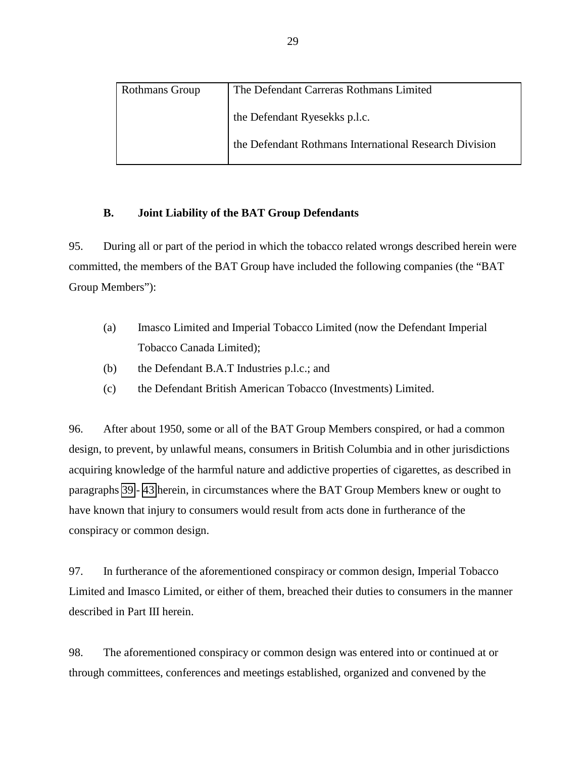<span id="page-28-0"></span>

| <b>Rothmans Group</b> | The Defendant Carreras Rothmans Limited                |
|-----------------------|--------------------------------------------------------|
|                       | the Defendant Ryesekks p.l.c.                          |
|                       | the Defendant Rothmans International Research Division |

### **B. Joint Liability of the BAT Group Defendants**

95. During all or part of the period in which the tobacco related wrongs described herein were committed, the members of the BAT Group have included the following companies (the "BAT Group Members"):

- (a) Imasco Limited and Imperial Tobacco Limited (now the Defendant Imperial Tobacco Canada Limited);
- (b) the Defendant B.A.T Industries p.l.c.; and
- (c) the Defendant British American Tobacco (Investments) Limited.

96. After about 1950, some or all of the BAT Group Members conspired, or had a common design, to prevent, by unlawful means, consumers in British Columbia and in other jurisdictions acquiring knowledge of the harmful nature and addictive properties of cigarettes, as described in paragraphs [39](#page-9-0) - [43](#page-10-0) herein, in circumstances where the BAT Group Members knew or ought to have known that injury to consumers would result from acts done in furtherance of the conspiracy or common design.

97. In furtherance of the aforementioned conspiracy or common design, Imperial Tobacco Limited and Imasco Limited, or either of them, breached their duties to consumers in the manner described in Part III herein.

98. The aforementioned conspiracy or common design was entered into or continued at or through committees, conferences and meetings established, organized and convened by the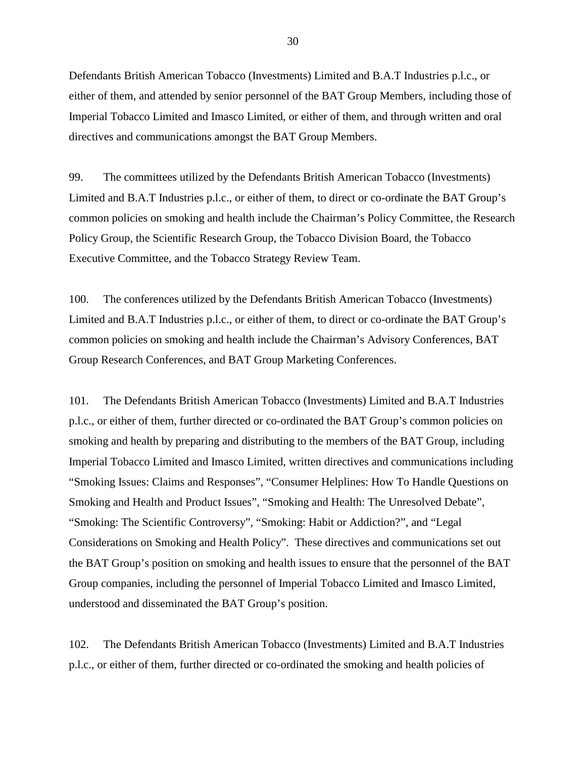Defendants British American Tobacco (Investments) Limited and B.A.T Industries p.l.c., or either of them, and attended by senior personnel of the BAT Group Members, including those of Imperial Tobacco Limited and Imasco Limited, or either of them, and through written and oral directives and communications amongst the BAT Group Members.

99. The committees utilized by the Defendants British American Tobacco (Investments) Limited and B.A.T Industries p.l.c., or either of them, to direct or co-ordinate the BAT Group's common policies on smoking and health include the Chairman's Policy Committee, the Research Policy Group, the Scientific Research Group, the Tobacco Division Board, the Tobacco Executive Committee, and the Tobacco Strategy Review Team.

100. The conferences utilized by the Defendants British American Tobacco (Investments) Limited and B.A.T Industries p.l.c., or either of them, to direct or co-ordinate the BAT Group's common policies on smoking and health include the Chairman's Advisory Conferences, BAT Group Research Conferences, and BAT Group Marketing Conferences.

101. The Defendants British American Tobacco (Investments) Limited and B.A.T Industries p.l.c., or either of them, further directed or co-ordinated the BAT Group's common policies on smoking and health by preparing and distributing to the members of the BAT Group, including Imperial Tobacco Limited and Imasco Limited, written directives and communications including "Smoking Issues: Claims and Responses", "Consumer Helplines: How To Handle Questions on Smoking and Health and Product Issues", "Smoking and Health: The Unresolved Debate", "Smoking: The Scientific Controversy", "Smoking: Habit or Addiction?", and "Legal Considerations on Smoking and Health Policy". These directives and communications set out the BAT Group's position on smoking and health issues to ensure that the personnel of the BAT Group companies, including the personnel of Imperial Tobacco Limited and Imasco Limited, understood and disseminated the BAT Group's position.

102. The Defendants British American Tobacco (Investments) Limited and B.A.T Industries p.l.c., or either of them, further directed or co-ordinated the smoking and health policies of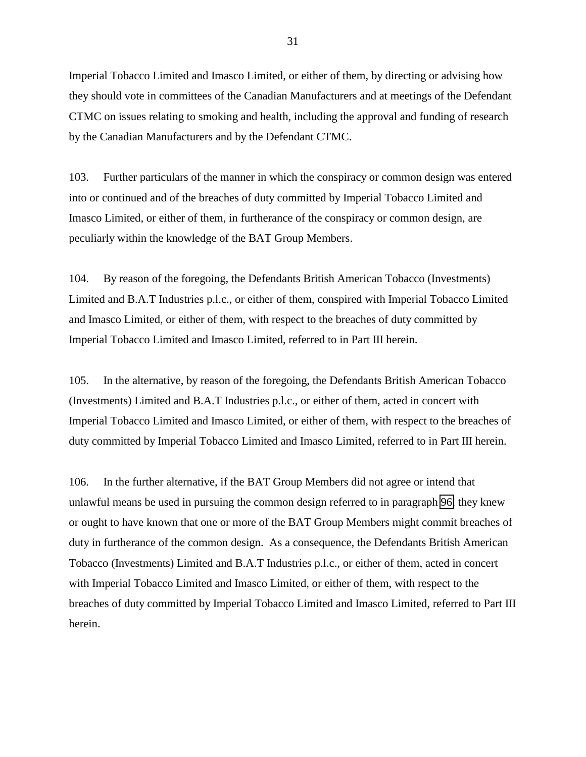Imperial Tobacco Limited and Imasco Limited, or either of them, by directing or advising how they should vote in committees of the Canadian Manufacturers and at meetings of the Defendant CTMC on issues relating to smoking and health, including the approval and funding of research by the Canadian Manufacturers and by the Defendant CTMC.

103. Further particulars of the manner in which the conspiracy or common design was entered into or continued and of the breaches of duty committed by Imperial Tobacco Limited and Imasco Limited, or either of them, in furtherance of the conspiracy or common design, are peculiarly within the knowledge of the BAT Group Members.

104. By reason of the foregoing, the Defendants British American Tobacco (Investments) Limited and B.A.T Industries p.l.c., or either of them, conspired with Imperial Tobacco Limited and Imasco Limited, or either of them, with respect to the breaches of duty committed by Imperial Tobacco Limited and Imasco Limited, referred to in Part III herein.

105. In the alternative, by reason of the foregoing, the Defendants British American Tobacco (Investments) Limited and B.A.T Industries p.l.c., or either of them, acted in concert with Imperial Tobacco Limited and Imasco Limited, or either of them, with respect to the breaches of duty committed by Imperial Tobacco Limited and Imasco Limited, referred to in Part III herein.

106. In the further alternative, if the BAT Group Members did not agree or intend that unlawful means be used in pursuing the common design referred to in paragraph [96,](#page-28-0) they knew or ought to have known that one or more of the BAT Group Members might commit breaches of duty in furtherance of the common design. As a consequence, the Defendants British American Tobacco (Investments) Limited and B.A.T Industries p.l.c., or either of them, acted in concert with Imperial Tobacco Limited and Imasco Limited, or either of them, with respect to the breaches of duty committed by Imperial Tobacco Limited and Imasco Limited, referred to Part III herein.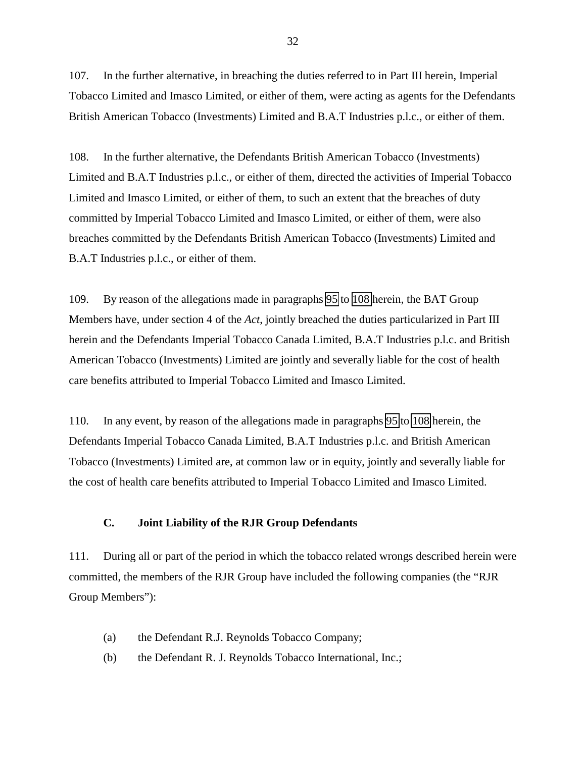<span id="page-31-0"></span>107. In the further alternative, in breaching the duties referred to in Part III herein, Imperial Tobacco Limited and Imasco Limited, or either of them, were acting as agents for the Defendants British American Tobacco (Investments) Limited and B.A.T Industries p.l.c., or either of them.

108. In the further alternative, the Defendants British American Tobacco (Investments) Limited and B.A.T Industries p.l.c., or either of them, directed the activities of Imperial Tobacco Limited and Imasco Limited, or either of them, to such an extent that the breaches of duty committed by Imperial Tobacco Limited and Imasco Limited, or either of them, were also breaches committed by the Defendants British American Tobacco (Investments) Limited and B.A.T Industries p.l.c., or either of them.

109. By reason of the allegations made in paragraphs [95](#page-28-0) to 108 herein, the BAT Group Members have, under section 4 of the *Act*, jointly breached the duties particularized in Part III herein and the Defendants Imperial Tobacco Canada Limited, B.A.T Industries p.l.c. and British American Tobacco (Investments) Limited are jointly and severally liable for the cost of health care benefits attributed to Imperial Tobacco Limited and Imasco Limited.

110. In any event, by reason of the allegations made in paragraphs [95](#page-28-0) to 108 herein, the Defendants Imperial Tobacco Canada Limited, B.A.T Industries p.l.c. and British American Tobacco (Investments) Limited are, at common law or in equity, jointly and severally liable for the cost of health care benefits attributed to Imperial Tobacco Limited and Imasco Limited.

### **C. Joint Liability of the RJR Group Defendants**

111. During all or part of the period in which the tobacco related wrongs described herein were committed, the members of the RJR Group have included the following companies (the "RJR Group Members"):

- (a) the Defendant R.J. Reynolds Tobacco Company;
- (b) the Defendant R. J. Reynolds Tobacco International, Inc.;

32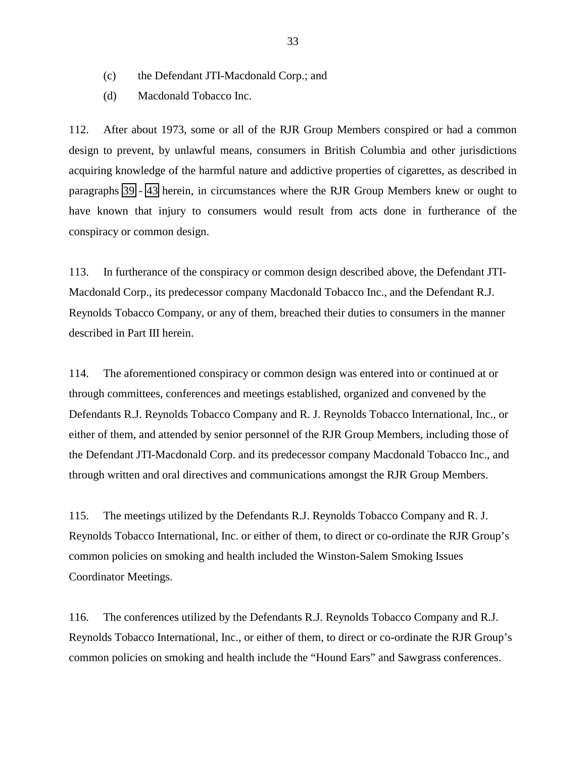- <span id="page-32-0"></span>(c) the Defendant JTI-Macdonald Corp.; and
- (d) Macdonald Tobacco Inc.

112. After about 1973, some or all of the RJR Group Members conspired or had a common design to prevent, by unlawful means, consumers in British Columbia and other jurisdictions acquiring knowledge of the harmful nature and addictive properties of cigarettes, as described in paragraphs [39](#page-9-0) - [43](#page-10-0) herein, in circumstances where the RJR Group Members knew or ought to have known that injury to consumers would result from acts done in furtherance of the conspiracy or common design.

113. In furtherance of the conspiracy or common design described above, the Defendant JTI-Macdonald Corp., its predecessor company Macdonald Tobacco Inc., and the Defendant R.J. Reynolds Tobacco Company, or any of them, breached their duties to consumers in the manner described in Part III herein.

114. The aforementioned conspiracy or common design was entered into or continued at or through committees, conferences and meetings established, organized and convened by the Defendants R.J. Reynolds Tobacco Company and R. J. Reynolds Tobacco International, Inc., or either of them, and attended by senior personnel of the RJR Group Members, including those of the Defendant JTI-Macdonald Corp. and its predecessor company Macdonald Tobacco Inc., and through written and oral directives and communications amongst the RJR Group Members.

115. The meetings utilized by the Defendants R.J. Reynolds Tobacco Company and R. J. Reynolds Tobacco International, Inc. or either of them, to direct or co-ordinate the RJR Group's common policies on smoking and health included the Winston-Salem Smoking Issues Coordinator Meetings.

116. The conferences utilized by the Defendants R.J. Reynolds Tobacco Company and R.J. Reynolds Tobacco International, Inc., or either of them, to direct or co-ordinate the RJR Group's common policies on smoking and health include the "Hound Ears" and Sawgrass conferences.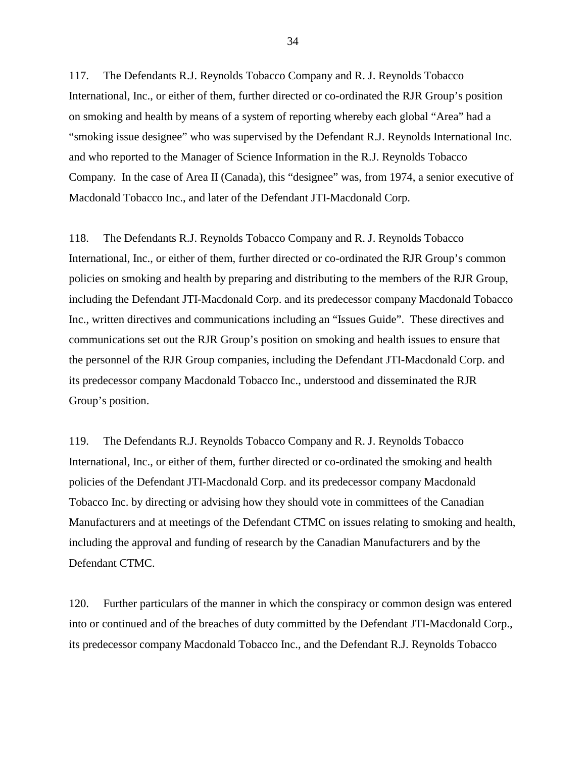117. The Defendants R.J. Reynolds Tobacco Company and R. J. Reynolds Tobacco International, Inc., or either of them, further directed or co-ordinated the RJR Group's position on smoking and health by means of a system of reporting whereby each global "Area" had a "smoking issue designee" who was supervised by the Defendant R.J. Reynolds International Inc. and who reported to the Manager of Science Information in the R.J. Reynolds Tobacco Company. In the case of Area II (Canada), this "designee" was, from 1974, a senior executive of Macdonald Tobacco Inc., and later of the Defendant JTI-Macdonald Corp.

118. The Defendants R.J. Reynolds Tobacco Company and R. J. Reynolds Tobacco International, Inc., or either of them, further directed or co-ordinated the RJR Group's common policies on smoking and health by preparing and distributing to the members of the RJR Group, including the Defendant JTI-Macdonald Corp. and its predecessor company Macdonald Tobacco Inc., written directives and communications including an "Issues Guide". These directives and communications set out the RJR Group's position on smoking and health issues to ensure that the personnel of the RJR Group companies, including the Defendant JTI-Macdonald Corp. and its predecessor company Macdonald Tobacco Inc., understood and disseminated the RJR Group's position.

119. The Defendants R.J. Reynolds Tobacco Company and R. J. Reynolds Tobacco International, Inc., or either of them, further directed or co-ordinated the smoking and health policies of the Defendant JTI-Macdonald Corp. and its predecessor company Macdonald Tobacco Inc. by directing or advising how they should vote in committees of the Canadian Manufacturers and at meetings of the Defendant CTMC on issues relating to smoking and health, including the approval and funding of research by the Canadian Manufacturers and by the Defendant CTMC.

120. Further particulars of the manner in which the conspiracy or common design was entered into or continued and of the breaches of duty committed by the Defendant JTI-Macdonald Corp., its predecessor company Macdonald Tobacco Inc., and the Defendant R.J. Reynolds Tobacco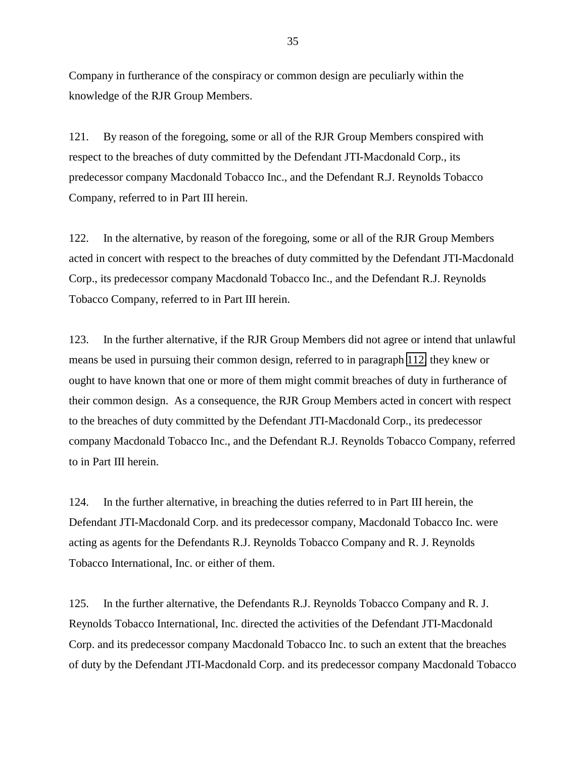<span id="page-34-0"></span>Company in furtherance of the conspiracy or common design are peculiarly within the knowledge of the RJR Group Members.

121. By reason of the foregoing, some or all of the RJR Group Members conspired with respect to the breaches of duty committed by the Defendant JTI-Macdonald Corp., its predecessor company Macdonald Tobacco Inc., and the Defendant R.J. Reynolds Tobacco Company, referred to in Part III herein.

122. In the alternative, by reason of the foregoing, some or all of the RJR Group Members acted in concert with respect to the breaches of duty committed by the Defendant JTI-Macdonald Corp., its predecessor company Macdonald Tobacco Inc., and the Defendant R.J. Reynolds Tobacco Company, referred to in Part III herein.

123. In the further alternative, if the RJR Group Members did not agree or intend that unlawful means be used in pursuing their common design, referred to in paragraph [112,](#page-32-0) they knew or ought to have known that one or more of them might commit breaches of duty in furtherance of their common design. As a consequence, the RJR Group Members acted in concert with respect to the breaches of duty committed by the Defendant JTI-Macdonald Corp., its predecessor company Macdonald Tobacco Inc., and the Defendant R.J. Reynolds Tobacco Company, referred to in Part III herein.

124. In the further alternative, in breaching the duties referred to in Part III herein, the Defendant JTI-Macdonald Corp. and its predecessor company, Macdonald Tobacco Inc. were acting as agents for the Defendants R.J. Reynolds Tobacco Company and R. J. Reynolds Tobacco International, Inc. or either of them.

125. In the further alternative, the Defendants R.J. Reynolds Tobacco Company and R. J. Reynolds Tobacco International, Inc. directed the activities of the Defendant JTI-Macdonald Corp. and its predecessor company Macdonald Tobacco Inc. to such an extent that the breaches of duty by the Defendant JTI-Macdonald Corp. and its predecessor company Macdonald Tobacco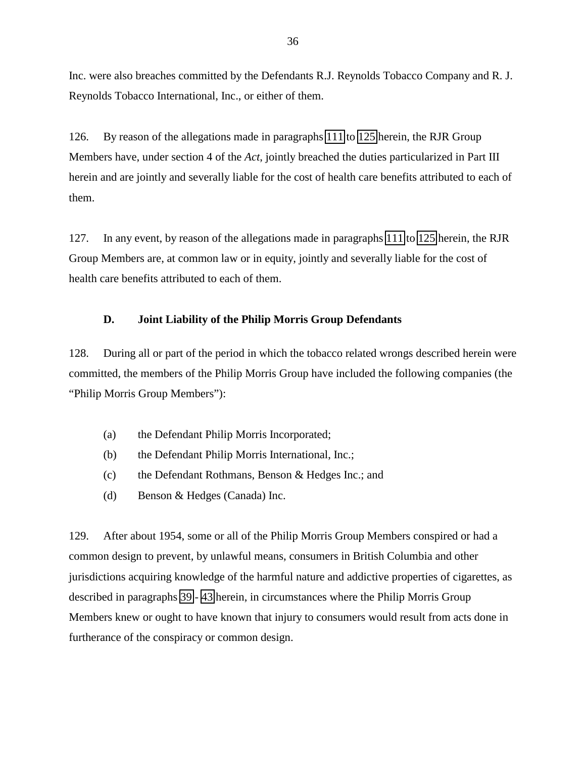<span id="page-35-0"></span>Inc. were also breaches committed by the Defendants R.J. Reynolds Tobacco Company and R. J. Reynolds Tobacco International, Inc., or either of them.

126. By reason of the allegations made in paragraphs [111](#page-31-0) to [125](#page-34-0) herein, the RJR Group Members have, under section 4 of the *Act*, jointly breached the duties particularized in Part III herein and are jointly and severally liable for the cost of health care benefits attributed to each of them.

127. In any event, by reason of the allegations made in paragraphs [111](#page-31-0) to [125](#page-34-0) herein, the RJR Group Members are, at common law or in equity, jointly and severally liable for the cost of health care benefits attributed to each of them.

### **D. Joint Liability of the Philip Morris Group Defendants**

128. During all or part of the period in which the tobacco related wrongs described herein were committed, the members of the Philip Morris Group have included the following companies (the "Philip Morris Group Members"):

- (a) the Defendant Philip Morris Incorporated;
- (b) the Defendant Philip Morris International, Inc.;
- (c) the Defendant Rothmans, Benson & Hedges Inc.; and
- (d) Benson & Hedges (Canada) Inc.

129. After about 1954, some or all of the Philip Morris Group Members conspired or had a common design to prevent, by unlawful means, consumers in British Columbia and other jurisdictions acquiring knowledge of the harmful nature and addictive properties of cigarettes, as described in paragraphs [39](#page-9-0) - [43](#page-10-0) herein, in circumstances where the Philip Morris Group Members knew or ought to have known that injury to consumers would result from acts done in furtherance of the conspiracy or common design.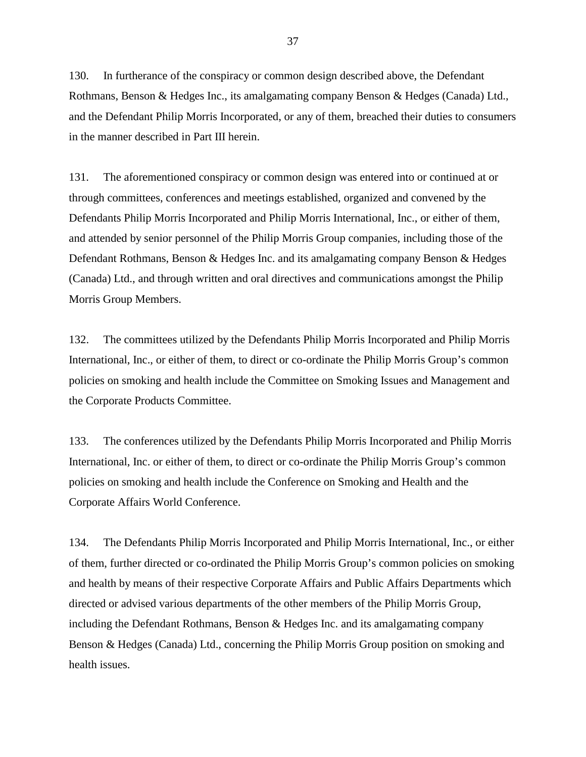130. In furtherance of the conspiracy or common design described above, the Defendant Rothmans, Benson & Hedges Inc., its amalgamating company Benson & Hedges (Canada) Ltd., and the Defendant Philip Morris Incorporated, or any of them, breached their duties to consumers in the manner described in Part III herein.

131. The aforementioned conspiracy or common design was entered into or continued at or through committees, conferences and meetings established, organized and convened by the Defendants Philip Morris Incorporated and Philip Morris International, Inc., or either of them, and attended by senior personnel of the Philip Morris Group companies, including those of the Defendant Rothmans, Benson & Hedges Inc. and its amalgamating company Benson & Hedges (Canada) Ltd., and through written and oral directives and communications amongst the Philip Morris Group Members.

132. The committees utilized by the Defendants Philip Morris Incorporated and Philip Morris International, Inc., or either of them, to direct or co-ordinate the Philip Morris Group's common policies on smoking and health include the Committee on Smoking Issues and Management and the Corporate Products Committee.

133. The conferences utilized by the Defendants Philip Morris Incorporated and Philip Morris International, Inc. or either of them, to direct or co-ordinate the Philip Morris Group's common policies on smoking and health include the Conference on Smoking and Health and the Corporate Affairs World Conference.

134. The Defendants Philip Morris Incorporated and Philip Morris International, Inc., or either of them, further directed or co-ordinated the Philip Morris Group's common policies on smoking and health by means of their respective Corporate Affairs and Public Affairs Departments which directed or advised various departments of the other members of the Philip Morris Group, including the Defendant Rothmans, Benson & Hedges Inc. and its amalgamating company Benson & Hedges (Canada) Ltd., concerning the Philip Morris Group position on smoking and health issues.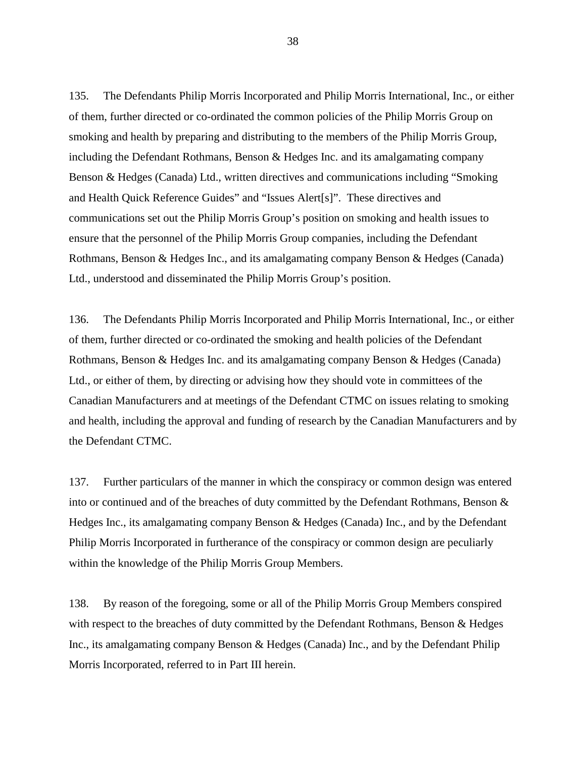135. The Defendants Philip Morris Incorporated and Philip Morris International, Inc., or either of them, further directed or co-ordinated the common policies of the Philip Morris Group on smoking and health by preparing and distributing to the members of the Philip Morris Group, including the Defendant Rothmans, Benson & Hedges Inc. and its amalgamating company Benson & Hedges (Canada) Ltd., written directives and communications including "Smoking and Health Quick Reference Guides" and "Issues Alert[s]". These directives and communications set out the Philip Morris Group's position on smoking and health issues to ensure that the personnel of the Philip Morris Group companies, including the Defendant Rothmans, Benson & Hedges Inc., and its amalgamating company Benson & Hedges (Canada) Ltd., understood and disseminated the Philip Morris Group's position.

136. The Defendants Philip Morris Incorporated and Philip Morris International, Inc., or either of them, further directed or co-ordinated the smoking and health policies of the Defendant Rothmans, Benson & Hedges Inc. and its amalgamating company Benson & Hedges (Canada) Ltd., or either of them, by directing or advising how they should vote in committees of the Canadian Manufacturers and at meetings of the Defendant CTMC on issues relating to smoking and health, including the approval and funding of research by the Canadian Manufacturers and by the Defendant CTMC.

137. Further particulars of the manner in which the conspiracy or common design was entered into or continued and of the breaches of duty committed by the Defendant Rothmans, Benson & Hedges Inc., its amalgamating company Benson & Hedges (Canada) Inc., and by the Defendant Philip Morris Incorporated in furtherance of the conspiracy or common design are peculiarly within the knowledge of the Philip Morris Group Members.

138. By reason of the foregoing, some or all of the Philip Morris Group Members conspired with respect to the breaches of duty committed by the Defendant Rothmans, Benson & Hedges Inc., its amalgamating company Benson & Hedges (Canada) Inc., and by the Defendant Philip Morris Incorporated, referred to in Part III herein.

38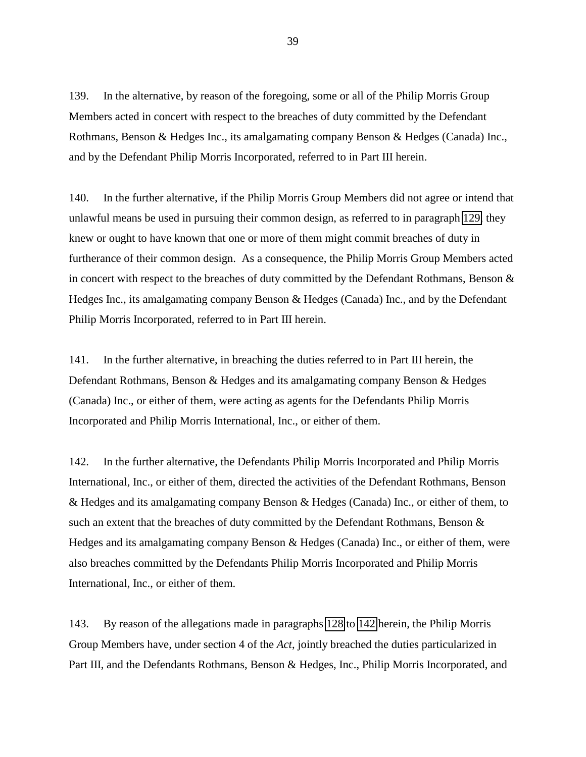<span id="page-38-0"></span>139. In the alternative, by reason of the foregoing, some or all of the Philip Morris Group Members acted in concert with respect to the breaches of duty committed by the Defendant Rothmans, Benson & Hedges Inc., its amalgamating company Benson & Hedges (Canada) Inc., and by the Defendant Philip Morris Incorporated, referred to in Part III herein.

140. In the further alternative, if the Philip Morris Group Members did not agree or intend that unlawful means be used in pursuing their common design, as referred to in paragraph [129,](#page-35-0) they knew or ought to have known that one or more of them might commit breaches of duty in furtherance of their common design. As a consequence, the Philip Morris Group Members acted in concert with respect to the breaches of duty committed by the Defendant Rothmans, Benson & Hedges Inc., its amalgamating company Benson & Hedges (Canada) Inc., and by the Defendant Philip Morris Incorporated, referred to in Part III herein.

141. In the further alternative, in breaching the duties referred to in Part III herein, the Defendant Rothmans, Benson & Hedges and its amalgamating company Benson & Hedges (Canada) Inc., or either of them, were acting as agents for the Defendants Philip Morris Incorporated and Philip Morris International, Inc., or either of them.

142. In the further alternative, the Defendants Philip Morris Incorporated and Philip Morris International, Inc., or either of them, directed the activities of the Defendant Rothmans, Benson & Hedges and its amalgamating company Benson & Hedges (Canada) Inc., or either of them, to such an extent that the breaches of duty committed by the Defendant Rothmans, Benson & Hedges and its amalgamating company Benson & Hedges (Canada) Inc., or either of them, were also breaches committed by the Defendants Philip Morris Incorporated and Philip Morris International, Inc., or either of them.

143. By reason of the allegations made in paragraphs [128](#page-35-0) to 142 herein, the Philip Morris Group Members have, under section 4 of the *Act*, jointly breached the duties particularized in Part III, and the Defendants Rothmans, Benson & Hedges, Inc., Philip Morris Incorporated, and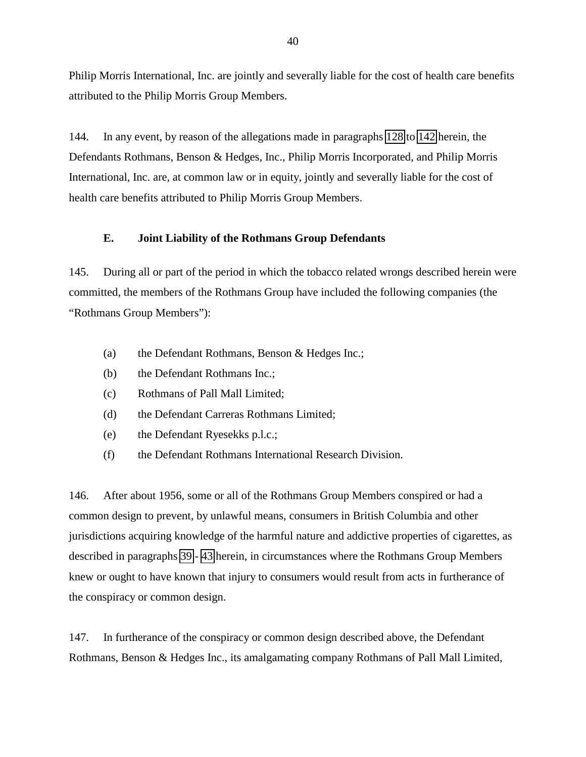<span id="page-39-0"></span>Philip Morris International, Inc. are jointly and severally liable for the cost of health care benefits attributed to the Philip Morris Group Members.

144. In any event, by reason of the allegations made in paragraphs [128](#page-35-0) to [142](#page-38-0) herein, the Defendants Rothmans, Benson & Hedges, Inc., Philip Morris Incorporated, and Philip Morris International, Inc. are, at common law or in equity, jointly and severally liable for the cost of health care benefits attributed to Philip Morris Group Members.

### **E. Joint Liability of the Rothmans Group Defendants**

145. During all or part of the period in which the tobacco related wrongs described herein were committed, the members of the Rothmans Group have included the following companies (the "Rothmans Group Members"):

- (a) the Defendant Rothmans, Benson & Hedges Inc.;
- (b) the Defendant Rothmans Inc.;
- (c) Rothmans of Pall Mall Limited;
- (d) the Defendant Carreras Rothmans Limited;
- (e) the Defendant Ryesekks p.l.c.;
- (f) the Defendant Rothmans International Research Division.

146. After about 1956, some or all of the Rothmans Group Members conspired or had a common design to prevent, by unlawful means, consumers in British Columbia and other jurisdictions acquiring knowledge of the harmful nature and addictive properties of cigarettes, as described in paragraphs [39](#page-9-0) - [43](#page-10-0) herein, in circumstances where the Rothmans Group Members knew or ought to have known that injury to consumers would result from acts in furtherance of the conspiracy or common design.

147. In furtherance of the conspiracy or common design described above, the Defendant Rothmans, Benson & Hedges Inc., its amalgamating company Rothmans of Pall Mall Limited,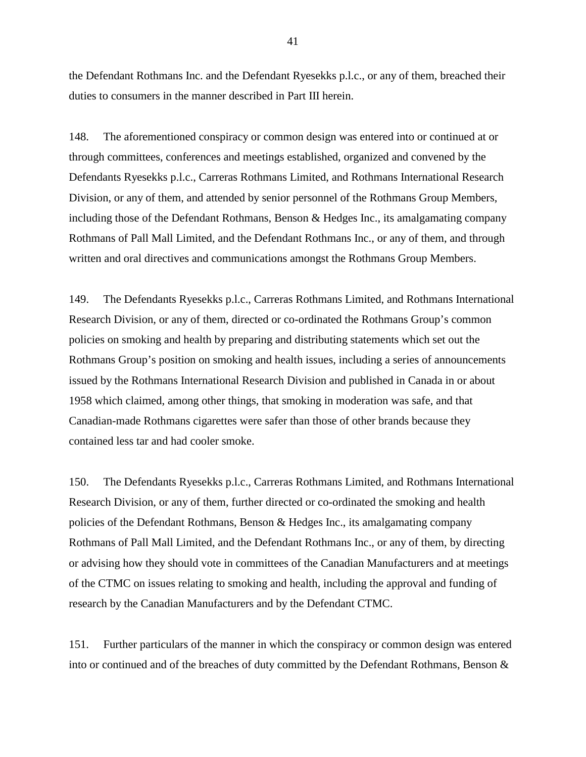the Defendant Rothmans Inc. and the Defendant Ryesekks p.l.c., or any of them, breached their duties to consumers in the manner described in Part III herein.

148. The aforementioned conspiracy or common design was entered into or continued at or through committees, conferences and meetings established, organized and convened by the Defendants Ryesekks p.l.c., Carreras Rothmans Limited, and Rothmans International Research Division, or any of them, and attended by senior personnel of the Rothmans Group Members, including those of the Defendant Rothmans, Benson & Hedges Inc., its amalgamating company Rothmans of Pall Mall Limited, and the Defendant Rothmans Inc., or any of them, and through written and oral directives and communications amongst the Rothmans Group Members.

149. The Defendants Ryesekks p.l.c., Carreras Rothmans Limited, and Rothmans International Research Division, or any of them, directed or co-ordinated the Rothmans Group's common policies on smoking and health by preparing and distributing statements which set out the Rothmans Group's position on smoking and health issues, including a series of announcements issued by the Rothmans International Research Division and published in Canada in or about 1958 which claimed, among other things, that smoking in moderation was safe, and that Canadian-made Rothmans cigarettes were safer than those of other brands because they contained less tar and had cooler smoke.

150. The Defendants Ryesekks p.l.c., Carreras Rothmans Limited, and Rothmans International Research Division, or any of them, further directed or co-ordinated the smoking and health policies of the Defendant Rothmans, Benson & Hedges Inc., its amalgamating company Rothmans of Pall Mall Limited, and the Defendant Rothmans Inc., or any of them, by directing or advising how they should vote in committees of the Canadian Manufacturers and at meetings of the CTMC on issues relating to smoking and health, including the approval and funding of research by the Canadian Manufacturers and by the Defendant CTMC.

151. Further particulars of the manner in which the conspiracy or common design was entered into or continued and of the breaches of duty committed by the Defendant Rothmans, Benson &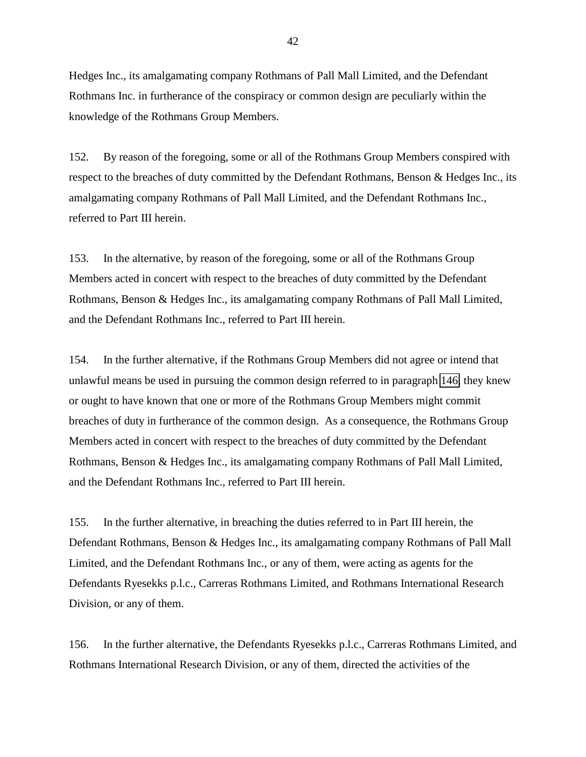<span id="page-41-0"></span>Hedges Inc., its amalgamating company Rothmans of Pall Mall Limited, and the Defendant Rothmans Inc. in furtherance of the conspiracy or common design are peculiarly within the knowledge of the Rothmans Group Members.

152. By reason of the foregoing, some or all of the Rothmans Group Members conspired with respect to the breaches of duty committed by the Defendant Rothmans, Benson & Hedges Inc., its amalgamating company Rothmans of Pall Mall Limited, and the Defendant Rothmans Inc., referred to Part III herein.

153. In the alternative, by reason of the foregoing, some or all of the Rothmans Group Members acted in concert with respect to the breaches of duty committed by the Defendant Rothmans, Benson & Hedges Inc., its amalgamating company Rothmans of Pall Mall Limited, and the Defendant Rothmans Inc., referred to Part III herein.

154. In the further alternative, if the Rothmans Group Members did not agree or intend that unlawful means be used in pursuing the common design referred to in paragraph [146,](#page-39-0) they knew or ought to have known that one or more of the Rothmans Group Members might commit breaches of duty in furtherance of the common design. As a consequence, the Rothmans Group Members acted in concert with respect to the breaches of duty committed by the Defendant Rothmans, Benson & Hedges Inc., its amalgamating company Rothmans of Pall Mall Limited, and the Defendant Rothmans Inc., referred to Part III herein.

155. In the further alternative, in breaching the duties referred to in Part III herein, the Defendant Rothmans, Benson & Hedges Inc., its amalgamating company Rothmans of Pall Mall Limited, and the Defendant Rothmans Inc., or any of them, were acting as agents for the Defendants Ryesekks p.l.c., Carreras Rothmans Limited, and Rothmans International Research Division, or any of them.

156. In the further alternative, the Defendants Ryesekks p.l.c., Carreras Rothmans Limited, and Rothmans International Research Division, or any of them, directed the activities of the

42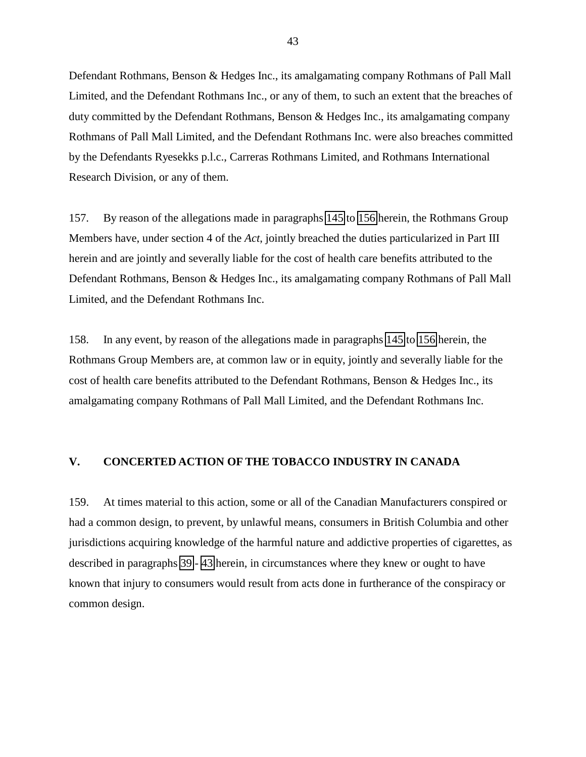<span id="page-42-0"></span>Defendant Rothmans, Benson & Hedges Inc., its amalgamating company Rothmans of Pall Mall Limited, and the Defendant Rothmans Inc., or any of them, to such an extent that the breaches of duty committed by the Defendant Rothmans, Benson & Hedges Inc., its amalgamating company Rothmans of Pall Mall Limited, and the Defendant Rothmans Inc. were also breaches committed by the Defendants Ryesekks p.l.c., Carreras Rothmans Limited, and Rothmans International Research Division, or any of them.

157. By reason of the allegations made in paragraphs [145](#page-39-0) to [156](#page-41-0) herein, the Rothmans Group Members have, under section 4 of the *Act*, jointly breached the duties particularized in Part III herein and are jointly and severally liable for the cost of health care benefits attributed to the Defendant Rothmans, Benson & Hedges Inc., its amalgamating company Rothmans of Pall Mall Limited, and the Defendant Rothmans Inc.

158. In any event, by reason of the allegations made in paragraphs [145](#page-39-0) to [156](#page-41-0) herein, the Rothmans Group Members are, at common law or in equity, jointly and severally liable for the cost of health care benefits attributed to the Defendant Rothmans, Benson & Hedges Inc., its amalgamating company Rothmans of Pall Mall Limited, and the Defendant Rothmans Inc.

# **V. CONCERTED ACTION OF THE TOBACCO INDUSTRY IN CANADA**

159. At times material to this action, some or all of the Canadian Manufacturers conspired or had a common design, to prevent, by unlawful means, consumers in British Columbia and other jurisdictions acquiring knowledge of the harmful nature and addictive properties of cigarettes, as described in paragraphs [39](#page-9-0) - [43](#page-10-0) herein, in circumstances where they knew or ought to have known that injury to consumers would result from acts done in furtherance of the conspiracy or common design.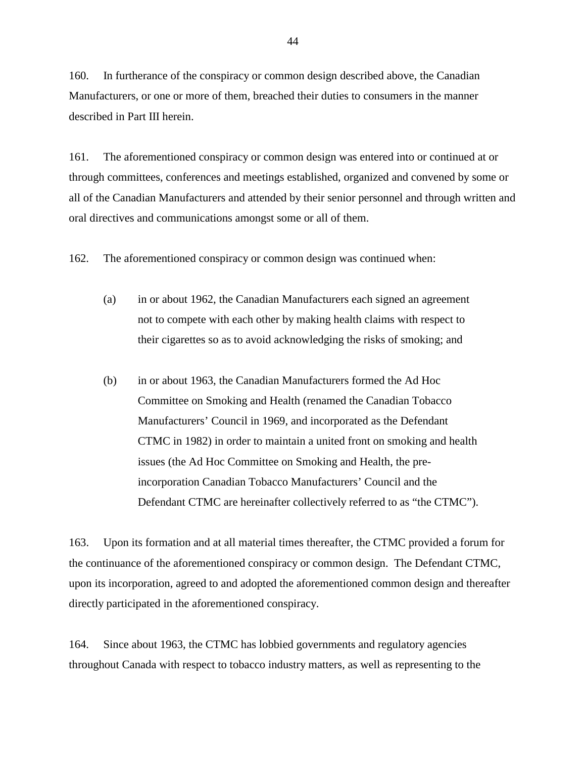160. In furtherance of the conspiracy or common design described above, the Canadian Manufacturers, or one or more of them, breached their duties to consumers in the manner described in Part III herein.

161. The aforementioned conspiracy or common design was entered into or continued at or through committees, conferences and meetings established, organized and convened by some or all of the Canadian Manufacturers and attended by their senior personnel and through written and oral directives and communications amongst some or all of them.

162. The aforementioned conspiracy or common design was continued when:

- (a) in or about 1962, the Canadian Manufacturers each signed an agreement not to compete with each other by making health claims with respect to their cigarettes so as to avoid acknowledging the risks of smoking; and
- (b) in or about 1963, the Canadian Manufacturers formed the Ad Hoc Committee on Smoking and Health (renamed the Canadian Tobacco Manufacturers' Council in 1969, and incorporated as the Defendant CTMC in 1982) in order to maintain a united front on smoking and health issues (the Ad Hoc Committee on Smoking and Health, the preincorporation Canadian Tobacco Manufacturers' Council and the Defendant CTMC are hereinafter collectively referred to as "the CTMC").

163. Upon its formation and at all material times thereafter, the CTMC provided a forum for the continuance of the aforementioned conspiracy or common design. The Defendant CTMC, upon its incorporation, agreed to and adopted the aforementioned common design and thereafter directly participated in the aforementioned conspiracy.

164. Since about 1963, the CTMC has lobbied governments and regulatory agencies throughout Canada with respect to tobacco industry matters, as well as representing to the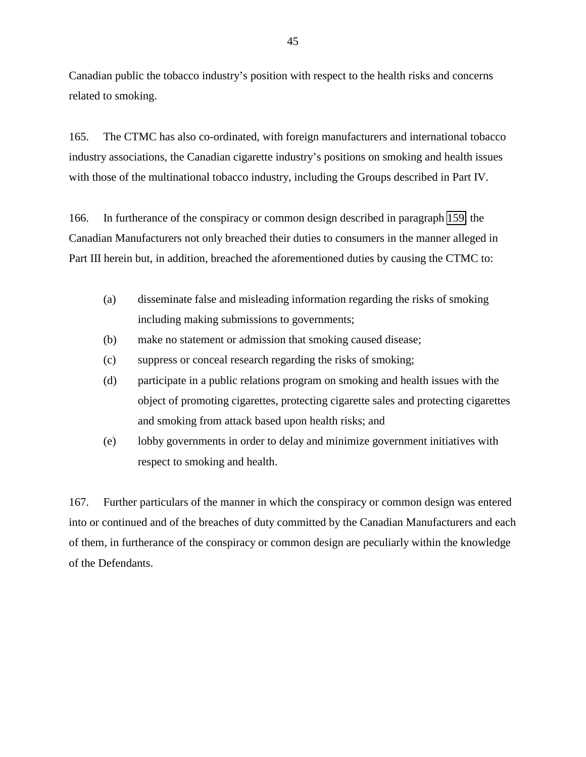<span id="page-44-0"></span>Canadian public the tobacco industry's position with respect to the health risks and concerns related to smoking.

165. The CTMC has also co-ordinated, with foreign manufacturers and international tobacco industry associations, the Canadian cigarette industry's positions on smoking and health issues with those of the multinational tobacco industry, including the Groups described in Part IV.

166. In furtherance of the conspiracy or common design described in paragraph [159,](#page-42-0) the Canadian Manufacturers not only breached their duties to consumers in the manner alleged in Part III herein but, in addition, breached the aforementioned duties by causing the CTMC to:

- (a) disseminate false and misleading information regarding the risks of smoking including making submissions to governments;
- (b) make no statement or admission that smoking caused disease;
- (c) suppress or conceal research regarding the risks of smoking;
- (d) participate in a public relations program on smoking and health issues with the object of promoting cigarettes, protecting cigarette sales and protecting cigarettes and smoking from attack based upon health risks; and
- (e) lobby governments in order to delay and minimize government initiatives with respect to smoking and health.

167. Further particulars of the manner in which the conspiracy or common design was entered into or continued and of the breaches of duty committed by the Canadian Manufacturers and each of them, in furtherance of the conspiracy or common design are peculiarly within the knowledge of the Defendants.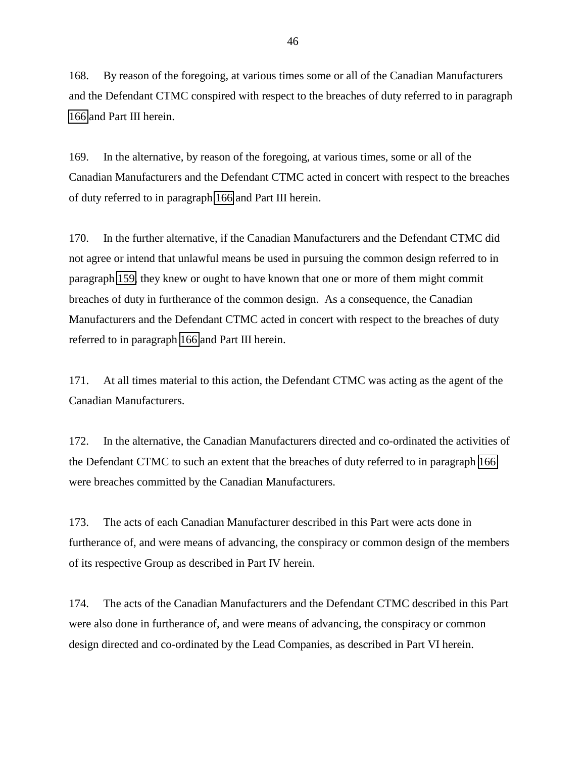168. By reason of the foregoing, at various times some or all of the Canadian Manufacturers and the Defendant CTMC conspired with respect to the breaches of duty referred to in paragraph [166](#page-44-0) and Part III herein.

169. In the alternative, by reason of the foregoing, at various times, some or all of the Canadian Manufacturers and the Defendant CTMC acted in concert with respect to the breaches of duty referred to in paragraph [166](#page-44-0) and Part III herein.

170. In the further alternative, if the Canadian Manufacturers and the Defendant CTMC did not agree or intend that unlawful means be used in pursuing the common design referred to in paragraph [159,](#page-42-0) they knew or ought to have known that one or more of them might commit breaches of duty in furtherance of the common design. As a consequence, the Canadian Manufacturers and the Defendant CTMC acted in concert with respect to the breaches of duty referred to in paragraph [166](#page-44-0) and Part III herein.

171. At all times material to this action, the Defendant CTMC was acting as the agent of the Canadian Manufacturers.

172. In the alternative, the Canadian Manufacturers directed and co-ordinated the activities of the Defendant CTMC to such an extent that the breaches of duty referred to in paragraph [166](#page-44-0) were breaches committed by the Canadian Manufacturers.

173. The acts of each Canadian Manufacturer described in this Part were acts done in furtherance of, and were means of advancing, the conspiracy or common design of the members of its respective Group as described in Part IV herein.

174. The acts of the Canadian Manufacturers and the Defendant CTMC described in this Part were also done in furtherance of, and were means of advancing, the conspiracy or common design directed and co-ordinated by the Lead Companies, as described in Part VI herein.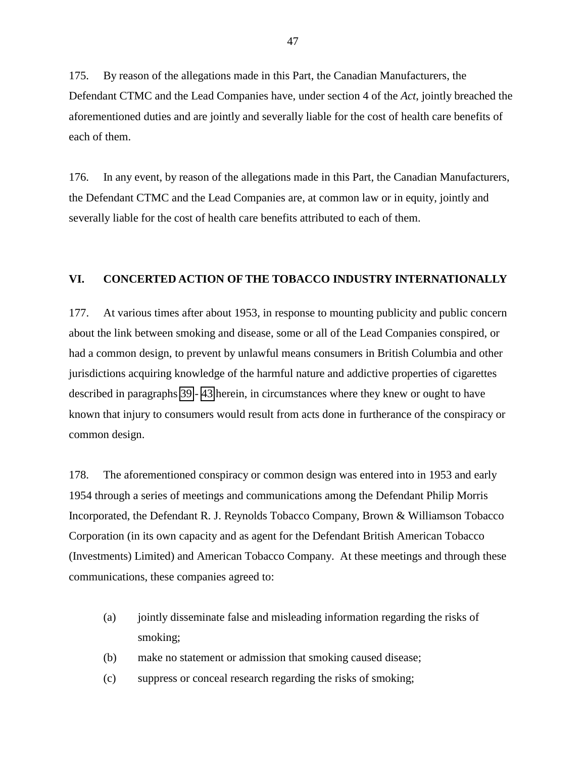<span id="page-46-0"></span>175. By reason of the allegations made in this Part, the Canadian Manufacturers, the Defendant CTMC and the Lead Companies have, under section 4 of the *Act*, jointly breached the aforementioned duties and are jointly and severally liable for the cost of health care benefits of each of them.

176. In any event, by reason of the allegations made in this Part, the Canadian Manufacturers, the Defendant CTMC and the Lead Companies are, at common law or in equity, jointly and severally liable for the cost of health care benefits attributed to each of them.

### **VI. CONCERTED ACTION OF THE TOBACCO INDUSTRY INTERNATIONALLY**

177. At various times after about 1953, in response to mounting publicity and public concern about the link between smoking and disease, some or all of the Lead Companies conspired, or had a common design, to prevent by unlawful means consumers in British Columbia and other jurisdictions acquiring knowledge of the harmful nature and addictive properties of cigarettes described in paragraphs [39](#page-9-0) - [43](#page-10-0) herein, in circumstances where they knew or ought to have known that injury to consumers would result from acts done in furtherance of the conspiracy or common design.

178. The aforementioned conspiracy or common design was entered into in 1953 and early 1954 through a series of meetings and communications among the Defendant Philip Morris Incorporated, the Defendant R. J. Reynolds Tobacco Company, Brown & Williamson Tobacco Corporation (in its own capacity and as agent for the Defendant British American Tobacco (Investments) Limited) and American Tobacco Company. At these meetings and through these communications, these companies agreed to:

- (a) jointly disseminate false and misleading information regarding the risks of smoking;
- (b) make no statement or admission that smoking caused disease;
- (c) suppress or conceal research regarding the risks of smoking;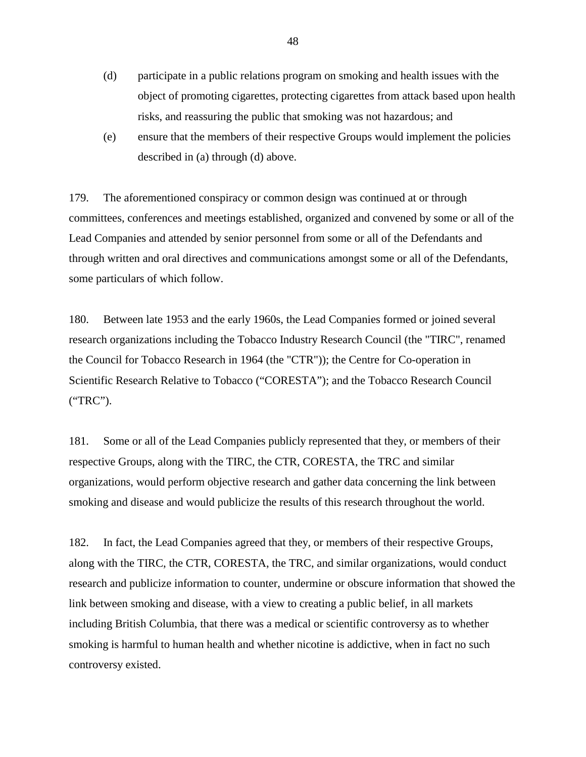- (d) participate in a public relations program on smoking and health issues with the object of promoting cigarettes, protecting cigarettes from attack based upon health risks, and reassuring the public that smoking was not hazardous; and
- (e) ensure that the members of their respective Groups would implement the policies described in (a) through (d) above.

179. The aforementioned conspiracy or common design was continued at or through committees, conferences and meetings established, organized and convened by some or all of the Lead Companies and attended by senior personnel from some or all of the Defendants and through written and oral directives and communications amongst some or all of the Defendants, some particulars of which follow.

180. Between late 1953 and the early 1960s, the Lead Companies formed or joined several research organizations including the Tobacco Industry Research Council (the "TIRC", renamed the Council for Tobacco Research in 1964 (the "CTR")); the Centre for Co-operation in Scientific Research Relative to Tobacco ("CORESTA"); and the Tobacco Research Council ("TRC").

181. Some or all of the Lead Companies publicly represented that they, or members of their respective Groups, along with the TIRC, the CTR, CORESTA, the TRC and similar organizations, would perform objective research and gather data concerning the link between smoking and disease and would publicize the results of this research throughout the world.

182. In fact, the Lead Companies agreed that they, or members of their respective Groups, along with the TIRC, the CTR, CORESTA, the TRC, and similar organizations, would conduct research and publicize information to counter, undermine or obscure information that showed the link between smoking and disease, with a view to creating a public belief, in all markets including British Columbia, that there was a medical or scientific controversy as to whether smoking is harmful to human health and whether nicotine is addictive, when in fact no such controversy existed.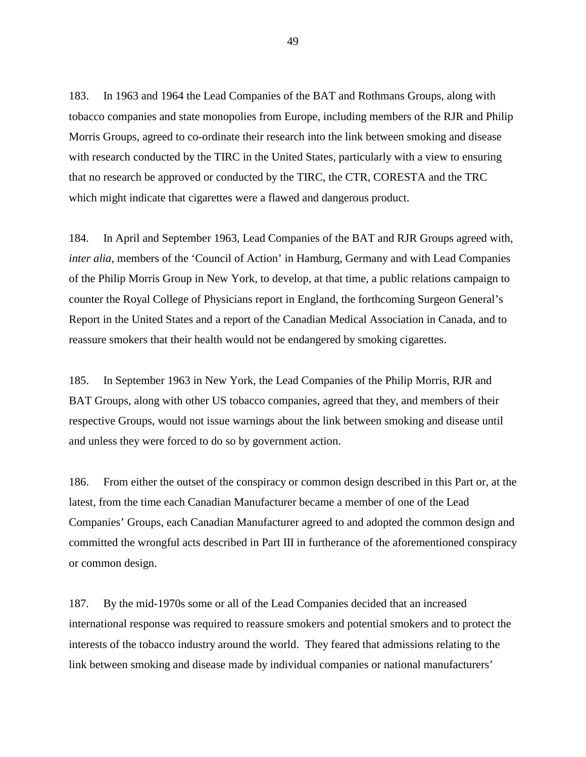183. In 1963 and 1964 the Lead Companies of the BAT and Rothmans Groups, along with tobacco companies and state monopolies from Europe, including members of the RJR and Philip Morris Groups, agreed to co-ordinate their research into the link between smoking and disease with research conducted by the TIRC in the United States, particularly with a view to ensuring that no research be approved or conducted by the TIRC, the CTR, CORESTA and the TRC which might indicate that cigarettes were a flawed and dangerous product.

184. In April and September 1963, Lead Companies of the BAT and RJR Groups agreed with, *inter alia*, members of the 'Council of Action' in Hamburg, Germany and with Lead Companies of the Philip Morris Group in New York, to develop, at that time, a public relations campaign to counter the Royal College of Physicians report in England, the forthcoming Surgeon General's Report in the United States and a report of the Canadian Medical Association in Canada, and to reassure smokers that their health would not be endangered by smoking cigarettes.

185. In September 1963 in New York, the Lead Companies of the Philip Morris, RJR and BAT Groups, along with other US tobacco companies, agreed that they, and members of their respective Groups, would not issue warnings about the link between smoking and disease until and unless they were forced to do so by government action.

186. From either the outset of the conspiracy or common design described in this Part or, at the latest, from the time each Canadian Manufacturer became a member of one of the Lead Companies' Groups, each Canadian Manufacturer agreed to and adopted the common design and committed the wrongful acts described in Part III in furtherance of the aforementioned conspiracy or common design.

187. By the mid-1970s some or all of the Lead Companies decided that an increased international response was required to reassure smokers and potential smokers and to protect the interests of the tobacco industry around the world. They feared that admissions relating to the link between smoking and disease made by individual companies or national manufacturers'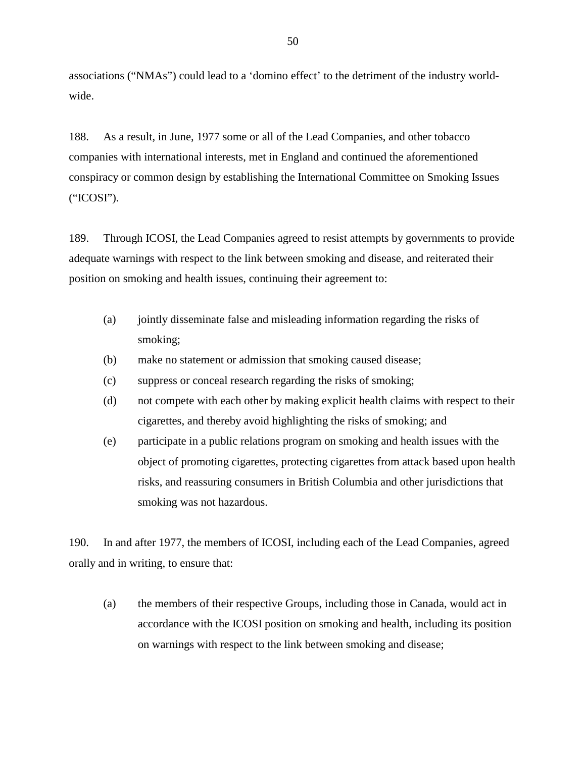associations ("NMAs") could lead to a 'domino effect' to the detriment of the industry worldwide.

188. As a result, in June, 1977 some or all of the Lead Companies, and other tobacco companies with international interests, met in England and continued the aforementioned conspiracy or common design by establishing the International Committee on Smoking Issues ("ICOSI").

189. Through ICOSI, the Lead Companies agreed to resist attempts by governments to provide adequate warnings with respect to the link between smoking and disease, and reiterated their position on smoking and health issues, continuing their agreement to:

- (a) jointly disseminate false and misleading information regarding the risks of smoking;
- (b) make no statement or admission that smoking caused disease;
- (c) suppress or conceal research regarding the risks of smoking;
- (d) not compete with each other by making explicit health claims with respect to their cigarettes, and thereby avoid highlighting the risks of smoking; and
- (e) participate in a public relations program on smoking and health issues with the object of promoting cigarettes, protecting cigarettes from attack based upon health risks, and reassuring consumers in British Columbia and other jurisdictions that smoking was not hazardous.

190. In and after 1977, the members of ICOSI, including each of the Lead Companies, agreed orally and in writing, to ensure that:

(a) the members of their respective Groups, including those in Canada, would act in accordance with the ICOSI position on smoking and health, including its position on warnings with respect to the link between smoking and disease;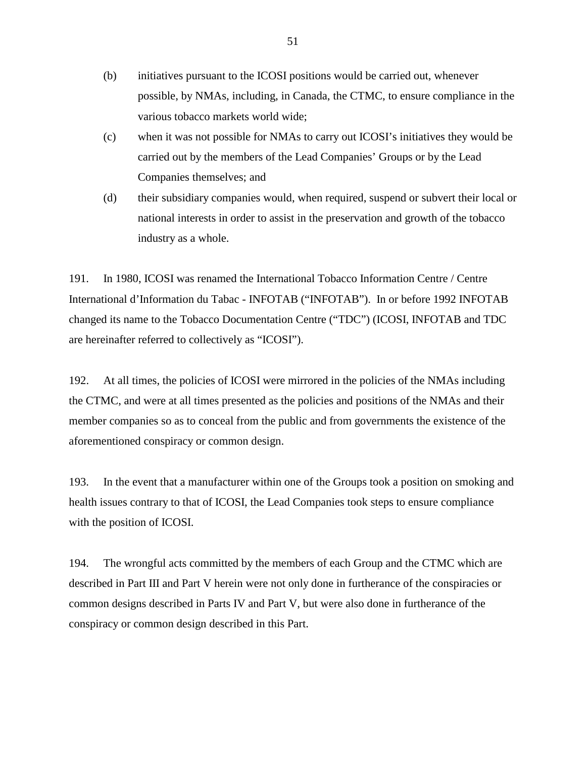- (b) initiatives pursuant to the ICOSI positions would be carried out, whenever possible, by NMAs, including, in Canada, the CTMC, to ensure compliance in the various tobacco markets world wide;
- (c) when it was not possible for NMAs to carry out ICOSI's initiatives they would be carried out by the members of the Lead Companies' Groups or by the Lead Companies themselves; and
- (d) their subsidiary companies would, when required, suspend or subvert their local or national interests in order to assist in the preservation and growth of the tobacco industry as a whole.

191. In 1980, ICOSI was renamed the International Tobacco Information Centre / Centre International d'Information du Tabac - INFOTAB ("INFOTAB"). In or before 1992 INFOTAB changed its name to the Tobacco Documentation Centre ("TDC") (ICOSI, INFOTAB and TDC are hereinafter referred to collectively as "ICOSI").

192. At all times, the policies of ICOSI were mirrored in the policies of the NMAs including the CTMC, and were at all times presented as the policies and positions of the NMAs and their member companies so as to conceal from the public and from governments the existence of the aforementioned conspiracy or common design.

193. In the event that a manufacturer within one of the Groups took a position on smoking and health issues contrary to that of ICOSI, the Lead Companies took steps to ensure compliance with the position of ICOSI.

194. The wrongful acts committed by the members of each Group and the CTMC which are described in Part III and Part V herein were not only done in furtherance of the conspiracies or common designs described in Parts IV and Part V, but were also done in furtherance of the conspiracy or common design described in this Part.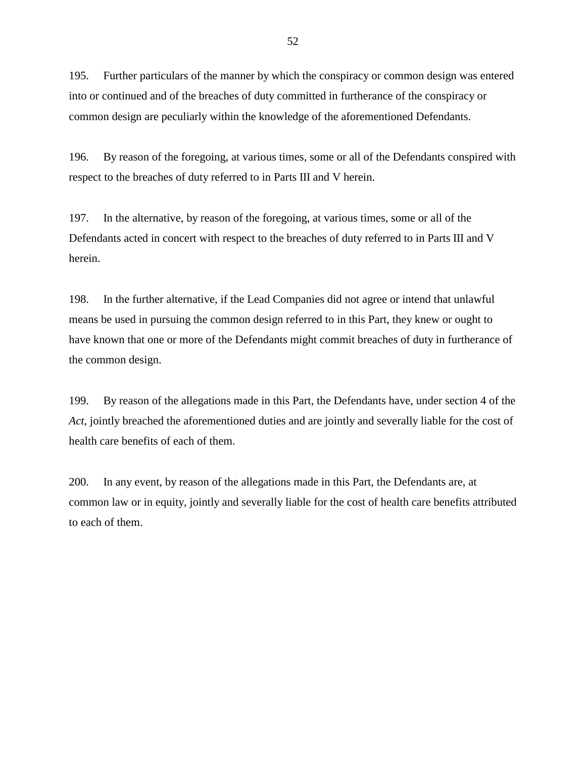195. Further particulars of the manner by which the conspiracy or common design was entered into or continued and of the breaches of duty committed in furtherance of the conspiracy or common design are peculiarly within the knowledge of the aforementioned Defendants.

196. By reason of the foregoing, at various times, some or all of the Defendants conspired with respect to the breaches of duty referred to in Parts III and V herein.

197. In the alternative, by reason of the foregoing, at various times, some or all of the Defendants acted in concert with respect to the breaches of duty referred to in Parts III and V herein.

198. In the further alternative, if the Lead Companies did not agree or intend that unlawful means be used in pursuing the common design referred to in this Part, they knew or ought to have known that one or more of the Defendants might commit breaches of duty in furtherance of the common design.

199. By reason of the allegations made in this Part, the Defendants have, under section 4 of the *Act*, jointly breached the aforementioned duties and are jointly and severally liable for the cost of health care benefits of each of them.

200. In any event, by reason of the allegations made in this Part, the Defendants are, at common law or in equity, jointly and severally liable for the cost of health care benefits attributed to each of them.